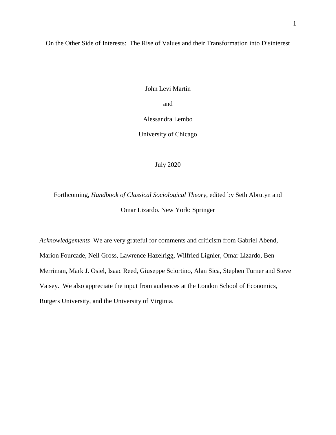On the Other Side of Interests: The Rise of Values and their Transformation into Disinterest

John Levi Martin

and

Alessandra Lembo

University of Chicago

July 2020

Forthcoming, *Handbook of Classical Sociological Theory*, edited by Seth Abrutyn and Omar Lizardo. New York: Springer

*Acknowledgements* We are very grateful for comments and criticism from Gabriel Abend, Marion Fourcade, Neil Gross, Lawrence Hazelrigg, Wilfried Lignier, Omar Lizardo, Ben Merriman, Mark J. Osiel, Isaac Reed, Giuseppe Sciortino, Alan Sica, Stephen Turner and Steve Vaisey. We also appreciate the input from audiences at the London School of Economics, Rutgers University, and the University of Virginia.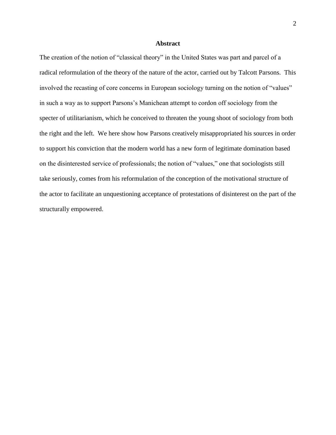# **Abstract**

The creation of the notion of "classical theory" in the United States was part and parcel of a radical reformulation of the theory of the nature of the actor, carried out by Talcott Parsons. This involved the recasting of core concerns in European sociology turning on the notion of "values" in such a way as to support Parsons's Manichean attempt to cordon off sociology from the specter of utilitarianism, which he conceived to threaten the young shoot of sociology from both the right and the left. We here show how Parsons creatively misappropriated his sources in order to support his conviction that the modern world has a new form of legitimate domination based on the disinterested service of professionals; the notion of "values," one that sociologists still take seriously, comes from his reformulation of the conception of the motivational structure of the actor to facilitate an unquestioning acceptance of protestations of disinterest on the part of the structurally empowered.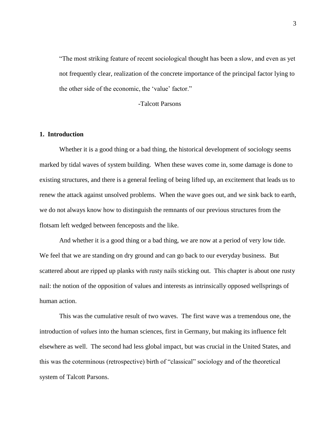"The most striking feature of recent sociological thought has been a slow, and even as yet not frequently clear, realization of the concrete importance of the principal factor lying to the other side of the economic, the 'value' factor."

-Talcott Parsons

# **1. Introduction**

Whether it is a good thing or a bad thing, the historical development of sociology seems marked by tidal waves of system building. When these waves come in, some damage is done to existing structures, and there is a general feeling of being lifted up, an excitement that leads us to renew the attack against unsolved problems. When the wave goes out, and we sink back to earth, we do not always know how to distinguish the remnants of our previous structures from the flotsam left wedged between fenceposts and the like.

And whether it is a good thing or a bad thing, we are now at a period of very low tide. We feel that we are standing on dry ground and can go back to our everyday business. But scattered about are ripped up planks with rusty nails sticking out. This chapter is about one rusty nail: the notion of the opposition of values and interests as intrinsically opposed wellsprings of human action.

This was the cumulative result of two waves. The first wave was a tremendous one, the introduction of *values* into the human sciences, first in Germany, but making its influence felt elsewhere as well. The second had less global impact, but was crucial in the United States, and this was the coterminous (retrospective) birth of "classical" sociology and of the theoretical system of Talcott Parsons.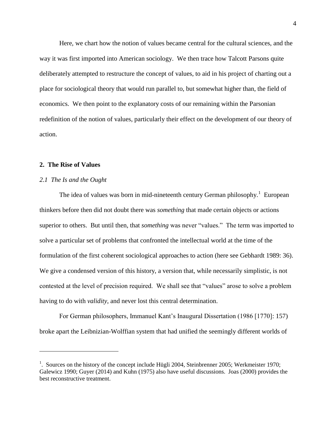Here, we chart how the notion of values became central for the cultural sciences, and the way it was first imported into American sociology. We then trace how Talcott Parsons quite deliberately attempted to restructure the concept of values, to aid in his project of charting out a place for sociological theory that would run parallel to, but somewhat higher than, the field of economics. We then point to the explanatory costs of our remaining within the Parsonian redefinition of the notion of values, particularly their effect on the development of our theory of action.

## **2. The Rise of Values**

 $\overline{a}$ 

# *2.1 The Is and the Ought*

The idea of values was born in mid-nineteenth century German philosophy.<sup>1</sup> European thinkers before then did not doubt there was *something* that made certain objects or actions superior to others. But until then, that *something* was never "values." The term was imported to solve a particular set of problems that confronted the intellectual world at the time of the formulation of the first coherent sociological approaches to action (here see Gebhardt 1989: 36). We give a condensed version of this history, a version that, while necessarily simplistic, is not contested at the level of precision required. We shall see that "values" arose to solve a problem having to do with *validity*, and never lost this central determination.

For German philosophers, Immanuel Kant's Inaugural Dissertation (1986 [1770]: 157) broke apart the Leibnizian-Wolffian system that had unified the seemingly different worlds of

<sup>&</sup>lt;sup>1</sup>. Sources on the history of the concept include Hügli 2004, Steinbrenner 2005; Werkmeister 1970; Galewicz 1990; Guyer (2014) and Kuhn (1975) also have useful discussions. Joas (2000) provides the best reconstructive treatment.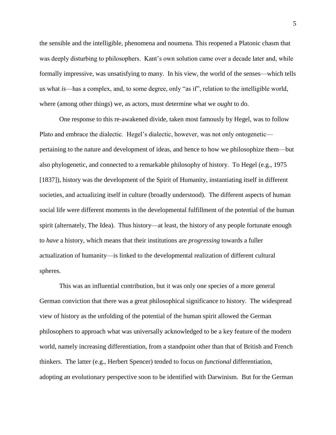the sensible and the intelligible, phenomena and noumena. This reopened a Platonic chasm that was deeply disturbing to philosophers. Kant's own solution came over a decade later and, while formally impressive, was unsatisfying to many. In his view, the world of the senses—which tells us what *is*—has a complex, and, to some degree, only "as if", relation to the intelligible world, where (among other things) we, as actors, must determine what we *ought* to do.

One response to this re-awakened divide, taken most famously by Hegel, was to follow Plato and embrace the dialectic. Hegel's dialectic, however, was not only ontogenetic pertaining to the nature and development of ideas, and hence to how we philosophize them—but also phylogenetic, and connected to a remarkable philosophy of history. To Hegel (e.g., 1975 [1837]), history was the development of the Spirit of Humanity, instantiating itself in different societies, and actualizing itself in culture (broadly understood). The different aspects of human social life were different moments in the developmental fulfillment of the potential of the human spirit (alternately, The Idea). Thus history—at least, the history of any people fortunate enough to *have* a history, which means that their institutions are *progressing* towards a fuller actualization of humanity—is linked to the developmental realization of different cultural spheres.

This was an influential contribution, but it was only one species of a more general German conviction that there was a great philosophical significance to history. The widespread view of history as the unfolding of the potential of the human spirit allowed the German philosophers to approach what was universally acknowledged to be a key feature of the modern world, namely increasing differentiation, from a standpoint other than that of British and French thinkers. The latter (e.g., Herbert Spencer) tended to focus on *functional* differentiation, adopting an evolutionary perspective soon to be identified with Darwinism. But for the German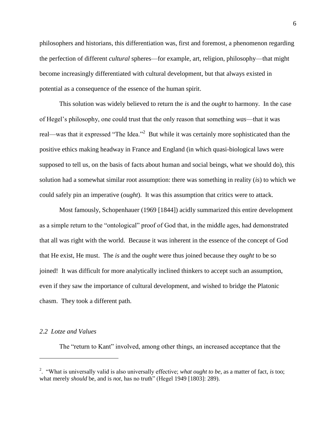philosophers and historians, this differentiation was, first and foremost, a phenomenon regarding the perfection of different *cultural* spheres—for example, art, religion, philosophy—that might become increasingly differentiated with cultural development, but that always existed in potential as a consequence of the essence of the human spirit.

This solution was widely believed to return the *is* and the *ought* to harmony. In the case of Hegel's philosophy, one could trust that the only reason that something *was*—that it was real—was that it expressed "The Idea."<sup>2</sup> But while it was certainly more sophisticated than the positive ethics making headway in France and England (in which quasi-biological laws were supposed to tell us, on the basis of facts about human and social beings, what we should do), this solution had a somewhat similar root assumption: there was something in reality (*is*) to which we could safely pin an imperative (*ought*). It was this assumption that critics were to attack.

Most famously, Schopenhauer (1969 [1844]) acidly summarized this entire development as a simple return to the "ontological" proof of God that, in the middle ages, had demonstrated that all was right with the world. Because it was inherent in the essence of the concept of God that He exist, He must. The *is* and the *ought* were thus joined because they *ought* to be so joined! It was difficult for more analytically inclined thinkers to accept such an assumption, even if they saw the importance of cultural development, and wished to bridge the Platonic chasm. They took a different path.

#### *2.2 Lotze and Values*

 $\overline{a}$ 

The "return to Kant" involved, among other things, an increased acceptance that the

<sup>2</sup> . "What is universally valid is also universally effective; *what ought to be*, as a matter of fact, *is* too; what merely *should* be, and is *not*, has no truth" (Hegel 1949 [1803]: 289).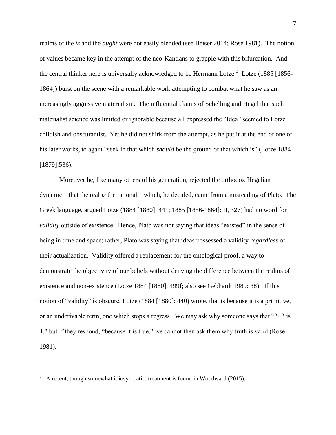realms of the *is* and the *ought* were not easily blended (see Beiser 2014; Rose 1981). The notion of values became key in the attempt of the neo-Kantians to grapple with this bifurcation. And the central thinker here is universally acknowledged to be Hermann Lotze.<sup>3</sup> Lotze (1885 [1856-1864]) burst on the scene with a remarkable work attempting to combat what he saw as an increasingly aggressive materialism. The influential claims of Schelling and Hegel that such materialist science was limited or ignorable because all expressed the "Idea" seemed to Lotze childish and obscurantist. Yet he did not shirk from the attempt, as he put it at the end of one of his later works, to again "seek in that which *should* be the ground of that which is" (Lotze 1884 [1879]:536).

Moreover he, like many others of his generation, rejected the orthodox Hegelian dynamic—that the real *is* the rational—which, he decided, came from a misreading of Plato. The Greek language, argued Lotze (1884 [1880]: 441; 1885 [1856-1864]: II, 327) had no word for *validity* outside of existence. Hence, Plato was not saying that ideas "existed" in the sense of being in time and space; rather, Plato was saying that ideas possessed a validity *regardless* of their actualization. Validity offered a replacement for the ontological proof, a way to demonstrate the objectivity of our beliefs without denying the difference between the realms of existence and non-existence (Lotze 1884 [1880]: 499f; also see Gebhardt 1989: 38). If this notion of "validity" is obscure, Lotze (1884 [1880]: 440) wrote, that is because it is a primitive, or an underivable term, one which stops a regress. We may ask why someone says that " $2\times 2$  is 4," but if they respond, "because it is true," we cannot then ask them why truth is valid (Rose 1981).

 $3.$  A recent, though somewhat idiosyncratic, treatment is found in Woodward (2015).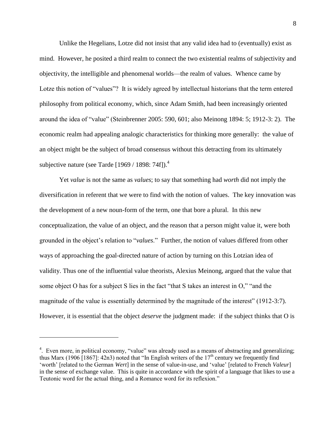Unlike the Hegelians, Lotze did not insist that any valid idea had to (eventually) exist as mind. However, he posited a third realm to connect the two existential realms of subjectivity and objectivity, the intelligible and phenomenal worlds—the realm of values. Whence came by Lotze this notion of "values"? It is widely agreed by intellectual historians that the term entered philosophy from political economy, which, since Adam Smith, had been increasingly oriented around the idea of "value" (Steinbrenner 2005: 590, 601; also Meinong 1894: 5; 1912-3: 2). The economic realm had appealing analogic characteristics for thinking more generally: the value of an object might be the subject of broad consensus without this detracting from its ultimately subjective nature (see Tarde  $[1969/1898:74f]$ ).<sup>4</sup>

Yet *value* is not the same as *values*; to say that something had *worth* did not imply the diversification in referent that we were to find with the notion of values. The key innovation was the development of a new noun-form of the term, one that bore a plural. In this new conceptualization, the value of an object, and the reason that a person might value it, were both grounded in the object's relation to "*values*." Further, the notion of values differed from other ways of approaching the goal-directed nature of action by turning on this Lotzian idea of validity. Thus one of the influential value theorists, Alexius Meinong, argued that the value that some object O has for a subject S lies in the fact "that S takes an interest in O," "and the magnitude of the value is essentially determined by the magnitude of the interest" (1912-3:7). However, it is essential that the object *deserve* the judgment made: if the subject thinks that O is

<sup>&</sup>lt;sup>4</sup>. Even more, in political economy, "value" was already used as a means of abstracting and generalizing; thus Marx (1906 [1867]: 42n3) noted that "In English writers of the  $17<sup>th</sup>$  century we frequently find 'worth' [related to the German *Wert*] in the sense of value-in-use, and 'value' [related to French *Valeur*] in the sense of exchange value. This is quite in accordance with the spirit of a language that likes to use a Teutonic word for the actual thing, and a Romance word for its reflexion."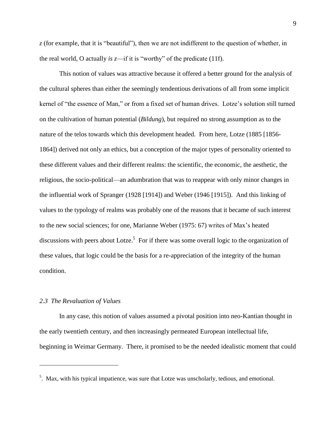*z* (for example, that it is "beautiful"), then we are not indifferent to the question of whether, in the real world, O actually *is*  $z$ —if it is "worthy" of the predicate (11f).

This notion of values was attractive because it offered a better ground for the analysis of the cultural spheres than either the seemingly tendentious derivations of all from some implicit kernel of "the essence of Man," or from a fixed set of human drives. Lotze's solution still turned on the cultivation of human potential (*Bildung*), but required no strong assumption as to the nature of the telos towards which this development headed. From here, Lotze (1885 [1856- 1864]) derived not only an ethics, but a conception of the major types of personality oriented to these different values and their different realms: the scientific, the economic, the aesthetic, the religious, the socio-political—an adumbration that was to reappear with only minor changes in the influential work of Spranger (1928 [1914]) and Weber (1946 [1915]). And this linking of values to the typology of realms was probably one of the reasons that it became of such interest to the new social sciences; for one, Marianne Weber (1975: 67) writes of Max's heated discussions with peers about Lotze.<sup>5</sup> For if there was some overall logic to the organization of these values, that logic could be the basis for a re-appreciation of the integrity of the human condition.

### *2.3 The Revaluation of Values*

 $\overline{a}$ 

In any case, this notion of values assumed a pivotal position into neo-Kantian thought in the early twentieth century, and then increasingly permeated European intellectual life, beginning in Weimar Germany. There, it promised to be the needed idealistic moment that could

 $<sup>5</sup>$ . Max, with his typical impatience, was sure that Lotze was unscholarly, tedious, and emotional.</sup>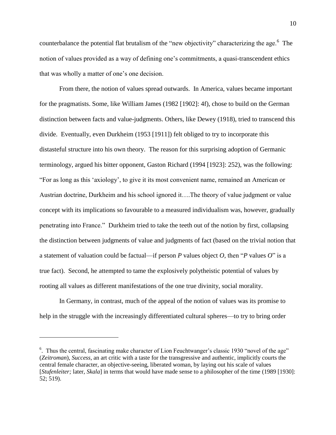counterbalance the potential flat brutalism of the "new objectivity" characterizing the age.  $6$  The notion of values provided as a way of defining one's commitments, a quasi-transcendent ethics that was wholly a matter of one's one decision.

From there, the notion of values spread outwards. In America, values became important for the pragmatists. Some, like William James (1982 [1902]: 4f), chose to build on the German distinction between facts and value-judgments. Others, like Dewey (1918), tried to transcend this divide. Eventually, even Durkheim (1953 [1911]) felt obliged to try to incorporate this distasteful structure into his own theory. The reason for this surprising adoption of Germanic terminology, argued his bitter opponent, Gaston Richard (1994 [1923]: 252), was the following: "For as long as this 'axiology', to give it its most convenient name, remained an American or Austrian doctrine, Durkheim and his school ignored it….The theory of value judgment or value concept with its implications so favourable to a measured individualism was, however, gradually penetrating into France." Durkheim tried to take the teeth out of the notion by first, collapsing the distinction between judgments of value and judgments of fact (based on the trivial notion that a statement of valuation could be factual—if person *P* values object *O,* then "*P* values *O*" is a true fact). Second, he attempted to tame the explosively polytheistic potential of values by rooting all values as different manifestations of the one true divinity, social morality.

In Germany, in contrast, much of the appeal of the notion of values was its promise to help in the struggle with the increasingly differentiated cultural spheres—to try to bring order

<sup>&</sup>lt;sup>6</sup>. Thus the central, fascinating make character of Lion Feuchtwanger's classic 1930 "novel of the age" (*Zeitroman*), *Success*, an art critic with a taste for the transgressive and authentic, implicitly courts the central female character, an objective-seeing, liberated woman, by laying out his scale of values [*Stufenleiter;* later, *Skala*] in terms that would have made sense to a philosopher of the time (1989 [1930]: 52; 519).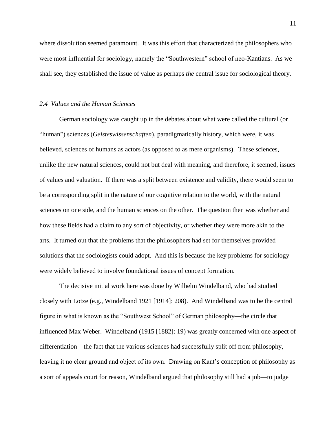where dissolution seemed paramount. It was this effort that characterized the philosophers who were most influential for sociology, namely the "Southwestern" school of neo-Kantians. As we shall see, they established the issue of value as perhaps *the* central issue for sociological theory.

### *2.4 Values and the Human Sciences*

German sociology was caught up in the debates about what were called the cultural (or "human") sciences (*Geisteswissenschaften*), paradigmatically history, which were, it was believed, sciences of humans as actors (as opposed to as mere organisms). These sciences, unlike the new natural sciences, could not but deal with meaning, and therefore, it seemed, issues of values and valuation. If there was a split between existence and validity, there would seem to be a corresponding split in the nature of our cognitive relation to the world, with the natural sciences on one side, and the human sciences on the other. The question then was whether and how these fields had a claim to any sort of objectivity, or whether they were more akin to the arts. It turned out that the problems that the philosophers had set for themselves provided solutions that the sociologists could adopt. And this is because the key problems for sociology were widely believed to involve foundational issues of concept formation.

The decisive initial work here was done by Wilhelm Windelband, who had studied closely with Lotze (e.g., Windelband 1921 [1914]: 208). And Windelband was to be the central figure in what is known as the "Southwest School" of German philosophy—the circle that influenced Max Weber. Windelband (1915 [1882]: 19) was greatly concerned with one aspect of differentiation—the fact that the various sciences had successfully split off from philosophy, leaving it no clear ground and object of its own. Drawing on Kant's conception of philosophy as a sort of appeals court for reason, Windelband argued that philosophy still had a job—to judge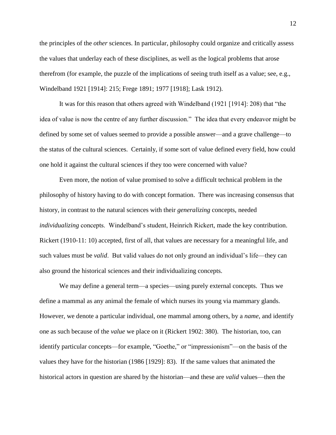the principles of the *other* sciences. In particular, philosophy could organize and critically assess the values that underlay each of these disciplines, as well as the logical problems that arose therefrom (for example, the puzzle of the implications of seeing truth itself as a value; see, e.g., Windelband 1921 [1914]: 215; Frege 1891; 1977 [1918]; Lask 1912).

It was for this reason that others agreed with Windelband (1921 [1914]: 208) that "the idea of value is now the centre of any further discussion." The idea that every endeavor might be defined by some set of values seemed to provide a possible answer—and a grave challenge—to the status of the cultural sciences. Certainly, if some sort of value defined every field, how could one hold it against the cultural sciences if they too were concerned with value?

Even more, the notion of value promised to solve a difficult technical problem in the philosophy of history having to do with concept formation. There was increasing consensus that history, in contrast to the natural sciences with their *generalizing* concepts, needed *individualizing* concepts. Windelband's student, Heinrich Rickert, made the key contribution. Rickert (1910-11: 10) accepted, first of all, that values are necessary for a meaningful life, and such values must be *valid*. But valid values do not only ground an individual's life—they can also ground the historical sciences and their individualizing concepts.

We may define a general term—a species—using purely external concepts. Thus we define a mammal as any animal the female of which nurses its young via mammary glands. However, we denote a particular individual, one mammal among others, by a *name*, and identify one as such because of the *value* we place on it (Rickert 1902: 380). The historian, too, can identify particular concepts—for example, "Goethe," or "impressionism"—on the basis of the values they have for the historian (1986 [1929]: 83). If the same values that animated the historical actors in question are shared by the historian—and these are *valid* values—then the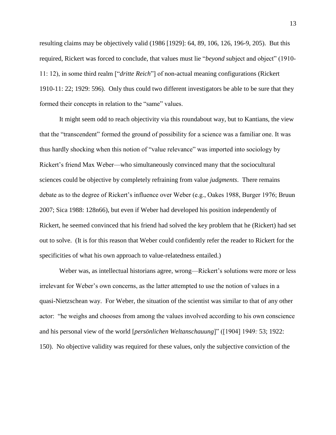resulting claims may be objectively valid (1986 [1929]: 64, 89, 106, 126, 196-9, 205). But this required, Rickert was forced to conclude, that values must lie "*beyond* subject and object" (1910- 11: 12), in some third realm ["*dritte Reich*"] of non-actual meaning configurations (Rickert 1910-11: 22; 1929: 596). Only thus could two different investigators be able to be sure that they formed their concepts in relation to the "same" values.

It might seem odd to reach objectivity via this roundabout way, but to Kantians, the view that the "transcendent" formed the ground of possibility for a science was a familiar one. It was thus hardly shocking when this notion of "value relevance" was imported into sociology by Rickert's friend Max Weber—who simultaneously convinced many that the sociocultural sciences could be objective by completely refraining from value *judgments*. There remains debate as to the degree of Rickert's influence over Weber (e.g., Oakes 1988, Burger 1976; Bruun 2007; Sica 1988: 128n66), but even if Weber had developed his position independently of Rickert, he seemed convinced that his friend had solved the key problem that he (Rickert) had set out to solve. (It is for this reason that Weber could confidently refer the reader to Rickert for the specificities of what his own approach to value-relatedness entailed.)

Weber was, as intellectual historians agree, wrong—Rickert's solutions were more or less irrelevant for Weber's own concerns, as the latter attempted to use the notion of values in a quasi-Nietzschean way. For Weber, the situation of the scientist was similar to that of any other actor: "he weighs and chooses from among the values involved according to his own conscience and his personal view of the world [*persönlichen Weltanschauung*]" ([1904] 1949*:* 53; 1922: 150). No objective validity was required for these values, only the subjective conviction of the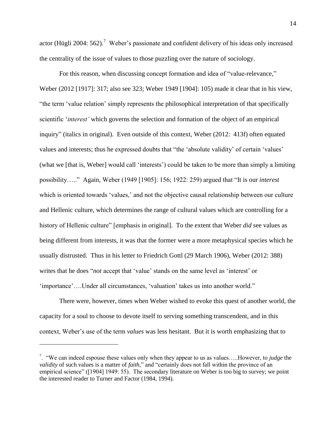actor (Hügli 2004: 562)*.* <sup>7</sup> Weber's passionate and confident delivery of his ideas only increased the centrality of the issue of values to those puzzling over the nature of sociology.

For this reason, when discussing concept formation and idea of "value-relevance," Weber (2012 [1917]: 317; also see 323; Weber 1949 [1904]: 105) made it clear that in his view, "the term 'value relation' simply represents the philosophical interpretation of that specifically scientific '*interest'* which governs the selection and formation of the object of an empirical inquiry" (italics in original). Even outside of this context, Weber (2012: 413f) often equated values and interests; thus he expressed doubts that "the 'absolute validity' of certain 'values' (what we [that is, Weber] would call 'interests') could be taken to be more than simply a limiting possibility….." Again, Weber (1949 [1905]: 156; 1922: 259) argued that "It is our *interest* which is oriented towards 'values,' and not the objective causal relationship between our culture and Hellenic culture, which determines the range of cultural values which are controlling for a history of Hellenic culture" [emphasis in original]. To the extent that Weber *did* see values as being different from interests, it was that the former were a more metaphysical species which he usually distrusted. Thus in his letter to Friedrich Gottl (29 March 1906), Weber (2012: 388) writes that he does "*not* accept that 'value' stands on the same level as 'interest' or 'importance'….Under all circumstances, 'valuation' takes us into another world."

There were, however, times when Weber wished to evoke this quest of another world, the capacity for a soul to choose to devote itself to serving something transcendent, and in this context, Weber's use of the term *values* was less hesitant. But it is worth emphasizing that to

<sup>7</sup> . "We can indeed espouse these values only when they appear to us as values…..However, to *judge* the *validity* of such values is a matter of *faith,*" and "certainly does not fall within the province of an empirical science" ([1904] 1949: 55). The secondary literature on Weber is too big to survey; we point the interested reader to Turner and Factor (1984, 1994).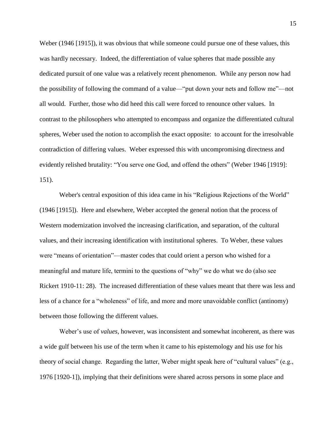Weber (1946 [1915])*,* it was obvious that while someone could pursue one of these values, this was hardly necessary. Indeed, the differentiation of value spheres that made possible any dedicated pursuit of one value was a relatively recent phenomenon. While any person now had the possibility of following the command of a value—"put down your nets and follow me"—not all would. Further, those who did heed this call were forced to renounce other values. In contrast to the philosophers who attempted to encompass and organize the differentiated cultural spheres, Weber used the notion to accomplish the exact opposite: to account for the irresolvable contradiction of differing values. Weber expressed this with uncompromising directness and evidently relished brutality: "You serve one God, and offend the others" (Weber 1946 [1919]: 151).

Weber's central exposition of this idea came in his "Religious Rejections of the World" (1946 [1915]). Here and elsewhere, Weber accepted the general notion that the process of Western modernization involved the increasing clarification, and separation, of the cultural values, and their increasing identification with institutional spheres. To Weber, these values were "means of orientation"—master codes that could orient a person who wished for a meaningful and mature life, termini to the questions of "why" we do what we do (also see Rickert 1910-11: 28). The increased differentiation of these values meant that there was less and less of a chance for a "wholeness" of life, and more and more unavoidable conflict (antinomy) between those following the different values.

Weber's use of *values*, however, was inconsistent and somewhat incoherent, as there was a wide gulf between his use of the term when it came to his epistemology and his use for his theory of social change. Regarding the latter, Weber might speak here of "cultural values" (e.g., 1976 [1920-1]), implying that their definitions were shared across persons in some place and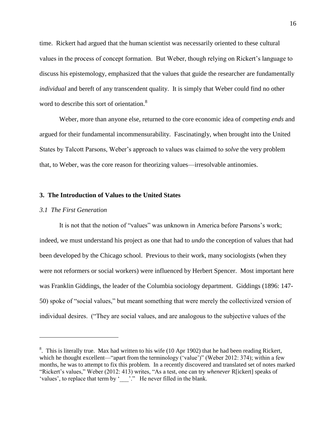time. Rickert had argued that the human scientist was necessarily oriented to these cultural values in the process of concept formation. But Weber, though relying on Rickert's language to discuss his epistemology, emphasized that the values that guide the researcher are fundamentally *individual* and bereft of any transcendent quality. It is simply that Weber could find no other word to describe this sort of orientation.<sup>8</sup>

Weber, more than anyone else, returned to the core economic idea of *competing ends* and argued for their fundamental incommensurability. Fascinatingly, when brought into the United States by Talcott Parsons, Weber's approach to values was claimed to *solve* the very problem that, to Weber, was the core reason for theorizing values—irresolvable antinomies.

## **3. The Introduction of Values to the United States**

### *3.1 The First Generation*

 $\overline{a}$ 

It is not that the notion of "values" was unknown in America before Parsons's work; indeed, we must understand his project as one that had to *undo* the conception of values that had been developed by the Chicago school. Previous to their work, many sociologists (when they were not reformers or social workers) were influenced by Herbert Spencer. Most important here was Franklin Giddings, the leader of the Columbia sociology department. Giddings (1896: 147- 50) spoke of "social values," but meant something that were merely the collectivized version of individual desires. ("They are social values, and are analogous to the subjective values of the

<sup>&</sup>lt;sup>8</sup>. This is literally true. Max had written to his wife (10 Apr 1902) that he had been reading Rickert, which he thought excellent—"apart from the terminology ('value')" (Weber 2012: 374); within a few months, he was to attempt to fix this problem. In a recently discovered and translated set of notes marked "Rickert's values," Weber (2012: 413) writes, "As a test, one can try *whenever* R[ickert] speaks of 'values', to replace that term by '\_\_\_'." He never filled in the blank.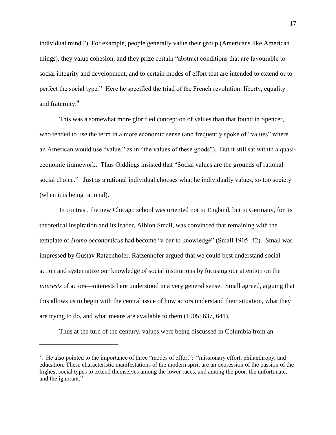individual mind.") For example, people generally value their group (Americans like American things), they value cohesion, and they prize certain "abstract conditions that are favourable to social integrity and development, and to certain modes of effort that are intended to extend or to perfect the social type." Here he specified the triad of the French revolution: liberty, equality and fraternity.<sup>9</sup>

This was a somewhat more glorified conception of values than that found in Spencer, who tended to use the term in a more economic sense (and frequently spoke of "values" where an American would use "value," as in "the values of these goods"). But it still sat within a quasieconomic framework. Thus Giddings insisted that "Social values are the grounds of rational social choice." Just as a rational individual chooses what he individually values, so too society (when it is being rational).

In contrast, the new Chicago school was oriented not to England, but to Germany, for its theoretical inspiration and its leader, Albion Small, was convinced that remaining with the template of *Homo oeconomicus* had become "a bar to knowledge" (Small 1905: 42). Small was impressed by Gustav Ratzenhofer. Ratzenhofer argued that we could best understand social action and systematize our knowledge of social institutions by focusing our attention on the *interests* of actors—interests here understood in a very general sense. Small agreed, arguing that this allows us to begin with the central issue of how actors understand their situation, what they are trying to do, and what means are available to them (1905: 637, 641).

Thus at the turn of the century, values were being discussed in Columbia from an

<sup>&</sup>lt;sup>9</sup>. He also pointed to the importance of three "modes of effort": "missionary effort, philanthropy, and education. These characteristic manifestations of the modern spirit are an expression of the passion of the highest social types to extend themselves among the lower races, and among the poor, the unfortunate, and the ignorant."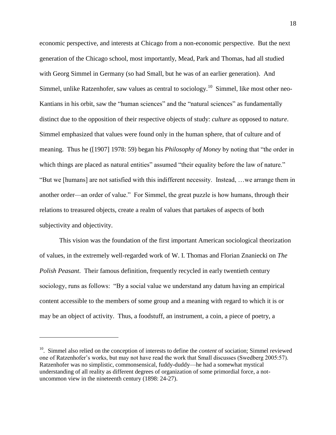economic perspective, and interests at Chicago from a non-economic perspective. But the next generation of the Chicago school, most importantly, Mead, Park and Thomas, had all studied with Georg Simmel in Germany (so had Small, but he was of an earlier generation). And Simmel, unlike Ratzenhofer, saw values as central to sociology.<sup>10</sup> Simmel, like most other neo-Kantians in his orbit, saw the "human sciences" and the "natural sciences" as fundamentally distinct due to the opposition of their respective objects of study: *culture* as opposed to *nature*. Simmel emphasized that values were found only in the human sphere, that of culture and of meaning. Thus he ([1907] 1978: 59) began his *Philosophy of Money* by noting that "the order in which things are placed as natural entities" assumed "their equality before the law of nature." "But we [humans] are not satisfied with this indifferent necessity. Instead, …we arrange them in another order—an order of value." For Simmel, the great puzzle is how humans, through their relations to treasured objects, create a realm of values that partakes of aspects of both subjectivity and objectivity.

This vision was the foundation of the first important American sociological theorization of values, in the extremely well-regarded work of W. I. Thomas and Florian Znaniecki on *The Polish Peasant*. Their famous definition, frequently recycled in early twentieth century sociology, runs as follows: "By a social value we understand any datum having an empirical content accessible to the members of some group and a meaning with regard to which it is or may be an object of activity. Thus, a foodstuff, an instrument, a coin, a piece of poetry, a

<sup>&</sup>lt;sup>10</sup>. Simmel also relied on the conception of interests to define the *content* of sociation; Simmel reviewed one of Ratzenhofer's works, but may not have read the work that Small discusses (Swedberg 2005:57). Ratzenhofer was no simplistic, commonsensical, fuddy-duddy—he had a somewhat mystical understanding of all reality as different degrees of organization of some primordial force, a notuncommon view in the nineteenth century (1898: 24-27).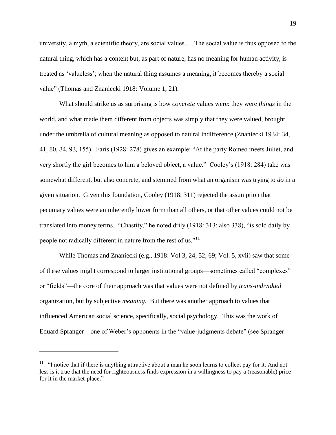university, a myth, a scientific theory, are social values…. The social value is thus opposed to the natural thing, which has a content but, as part of nature, has no meaning for human activity, is treated as 'valueless'; when the natural thing assumes a meaning, it becomes thereby a social value" (Thomas and Znaniecki 1918: Volume 1, 21).

What should strike us as surprising is how *concrete* values were: they were *things* in the world, and what made them different from objects was simply that they were valued, brought under the umbrella of cultural meaning as opposed to natural indifference (Znaniecki 1934: 34, 41, 80, 84, 93, 155). Faris (1928: 278) gives an example: "At the party Romeo meets Juliet, and very shortly the girl becomes to him a beloved object, a value." Cooley's (1918: 284) take was somewhat different, but also concrete, and stemmed from what an organism was trying to *do* in a given situation. Given this foundation, Cooley (1918: 311) rejected the assumption that pecuniary values were an inherently lower form than all others, or that other values could not be translated into money terms. "Chastity," he noted drily (1918: 313; also 338), "is sold daily by people not radically different in nature from the rest of us."<sup>11</sup>

While Thomas and Znaniecki (e.g., 1918: Vol 3, 24, 52, 69; Vol. 5, xvii) saw that some of these values might correspond to larger institutional groups—sometimes called "complexes" or "fields"—the core of their approach was that values were not defined by *trans-individual* organization, but by subjective *meaning*. But there was another approach to values that influenced American social science, specifically, social psychology. This was the work of Eduard Spranger—one of Weber's opponents in the "value-judgments debate" (see Spranger

 $11.$  "I notice that if there is anything attractive about a man he soon learns to collect pay for it. And not less is it true that the need for righteousness finds expression in a willingness to pay a (reasonable) price for it in the market-place."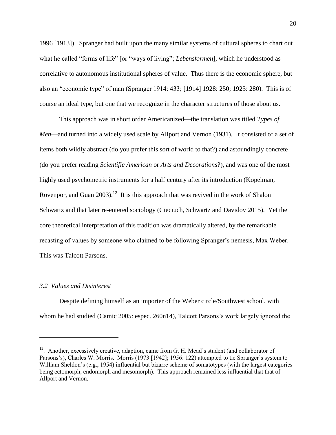1996 [1913]). Spranger had built upon the many similar systems of cultural spheres to chart out what he called "forms of life" [or "ways of living"; *Lebensformen*], which he understood as correlative to autonomous institutional spheres of value. Thus there is the economic sphere, but also an "economic type" of man (Spranger 1914: 433; [1914] 1928: 250; 1925: 280). This is of course an ideal type, but one that we recognize in the character structures of those about us.

This approach was in short order Americanized—the translation was titled *Types of Men*—and turned into a widely used scale by Allport and Vernon (1931). It consisted of a set of items both wildly abstract (do you prefer this sort of world to that?) and astoundingly concrete (do you prefer reading *Scientific American* or *Arts and Decorations*?), and was one of the most highly used psychometric instruments for a half century after its introduction (Kopelman, Rovenpor, and Guan  $2003$ .<sup>12</sup> It is this approach that was revived in the work of Shalom Schwartz and that later re-entered sociology (Cieciuch, Schwartz and Davidov 2015). Yet the core theoretical interpretation of this tradition was dramatically altered, by the remarkable recasting of values by someone who claimed to be following Spranger's nemesis, Max Weber. This was Talcott Parsons.

#### *3.2 Values and Disinterest*

 $\overline{a}$ 

Despite defining himself as an importer of the Weber circle/Southwest school, with whom he had studied (Camic 2005: espec. 260n14), Talcott Parsons's work largely ignored the

 $12$ . Another, excessively creative, adaption, came from G. H. Mead's student (and collaborator of Parsons's), Charles W. Morris. Morris (1973 [1942]; 1956: 122) attempted to tie Spranger's system to William Sheldon's (e.g., 1954) influential but bizarre scheme of somatotypes (with the largest categories being ectomorph, endomorph and mesomorph). This approach remained less influential that that of Allport and Vernon.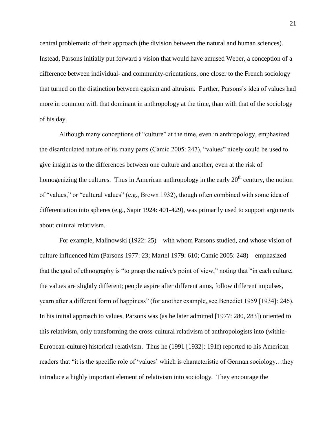central problematic of their approach (the division between the natural and human sciences). Instead, Parsons initially put forward a vision that would have amused Weber, a conception of a difference between individual- and community-orientations, one closer to the French sociology that turned on the distinction between egoism and altruism. Further, Parsons's idea of values had more in common with that dominant in anthropology at the time, than with that of the sociology of his day.

Although many conceptions of "culture" at the time, even in anthropology, emphasized the disarticulated nature of its many parts (Camic 2005: 247), "values" nicely could be used to give insight as to the differences between one culture and another, even at the risk of homogenizing the cultures. Thus in American anthropology in the early  $20<sup>th</sup>$  century, the notion of "values," or "cultural values" (e.g., Brown 1932), though often combined with some idea of differentiation into spheres (e.g., Sapir 1924: 401-429), was primarily used to support arguments about cultural relativism.

For example, Malinowski (1922: 25)—with whom Parsons studied, and whose vision of culture influenced him (Parsons 1977: 23; Martel 1979: 610; Camic 2005: 248)—emphasized that the goal of ethnography is "to grasp the native's point of view," noting that "in each culture, the values are slightly different; people aspire after different aims, follow different impulses, yearn after a different form of happiness" (for another example, see Benedict 1959 [1934]: 246). In his initial approach to values, Parsons was (as he later admitted [1977: 280, 283]) oriented to this relativism, only transforming the cross-cultural relativism of anthropologists into (within-European-culture) historical relativism. Thus he (1991 [1932]: 191f) reported to his American readers that "it is the specific role of 'values' which is characteristic of German sociology…they introduce a highly important element of relativism into sociology. They encourage the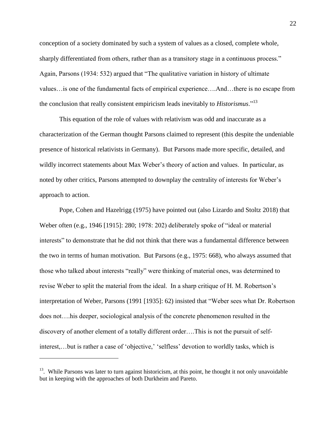conception of a society dominated by such a system of values as a closed, complete whole, sharply differentiated from others, rather than as a transitory stage in a continuous process." Again, Parsons (1934: 532) argued that "The qualitative variation in history of ultimate values…is one of the fundamental facts of empirical experience….And…there is no escape from the conclusion that really consistent empiricism leads inevitably to *Historismus*."<sup>13</sup>

This equation of the role of values with relativism was odd and inaccurate as a characterization of the German thought Parsons claimed to represent (this despite the undeniable presence of historical relativists in Germany). But Parsons made more specific, detailed, and wildly incorrect statements about Max Weber's theory of action and values. In particular, as noted by other critics, Parsons attempted to downplay the centrality of interests for Weber's approach to action.

Pope, Cohen and Hazelrigg (1975) have pointed out (also Lizardo and Stoltz 2018) that Weber often (e.g., 1946 [1915]: 280; 1978: 202) deliberately spoke of "ideal or material interests" to demonstrate that he did not think that there was a fundamental difference between the two in terms of human motivation. But Parsons (e.g., 1975: 668), who always assumed that those who talked about interests "really" were thinking of material ones, was determined to revise Weber to split the material from the ideal. In a sharp critique of H. M. Robertson's interpretation of Weber, Parsons (1991 [1935]: 62) insisted that "Weber sees what Dr. Robertson does not….his deeper, sociological analysis of the concrete phenomenon resulted in the discovery of another element of a totally different order….This is not the pursuit of selfinterest,...but is rather a case of 'objective,' 'selfless' devotion to worldly tasks, which is

<sup>&</sup>lt;sup>13</sup>. While Parsons was later to turn against historicism, at this point, he thought it not only unavoidable but in keeping with the approaches of both Durkheim and Pareto.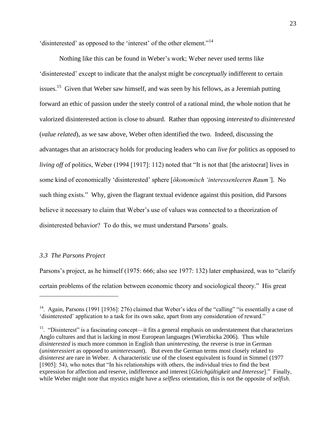'disinterested' as opposed to the 'interest' of the other element."<sup>14</sup>

Nothing like this can be found in Weber's work; Weber never used terms like 'disinterested' except to indicate that the analyst might be *conceptually* indifferent to certain issues.<sup>15</sup> Given that Weber saw himself, and was seen by his fellows, as a Jeremiah putting forward an ethic of passion under the steely control of a rational mind, the whole notion that he valorized disinterested action is close to absurd. Rather than opposing *interested* to *disinterested* (*value related*), as we saw above, Weber often identified the two. Indeed, discussing the advantages that an aristocracy holds for producing leaders who can *live for* politics as opposed to *living off* of politics, Weber (1994 [1917]: 112) noted that "It is not that [the aristocrat] lives in some kind of economically 'disinterested' sphere [*ökonomisch 'interessenleeren Raum'*]. No such thing exists." Why, given the flagrant textual evidence against this position, did Parsons believe it necessary to claim that Weber's use of values was connected to a theorization of disinterested behavior? To do this, we must understand Parsons' goals.

## *3.3 The Parsons Project*

 $\overline{a}$ 

Parsons's project, as he himself (1975: 666; also see 1977: 132) later emphasized, was to "clarify certain problems of the relation between economic theory and sociological theory." His great

<sup>&</sup>lt;sup>14</sup>. Again, Parsons (1991 [1936]: 276) claimed that Weber's idea of the "calling" "is essentially a case of 'disinterested' application to a task for its own sake, apart from any consideration of reward."

 $15.$  "Disinterest" is a fascinating concept—it fits a general emphasis on understatement that characterizes Anglo cultures and that is lacking in most European languages (Wierzbicka 2006). Thus while *disinterested* is much more common in English than *uninteresting,* the reverse is true in German (*uninteressiert* as opposed to *uninteressant*). But even the German terms most closely related to *disinterest* are rare in Weber. A characteristic use of the closest equivalent is found in Simmel (1977 [1905]: 54), who notes that "In his relationships with others, the individual tries to find the best expression for affection and reserve, indifference and interest [*Gleichgültigkeit und Interesse*]." Finally, while Weber might note that mystics might have a *selfless* orientation, this is not the opposite of *selfish*.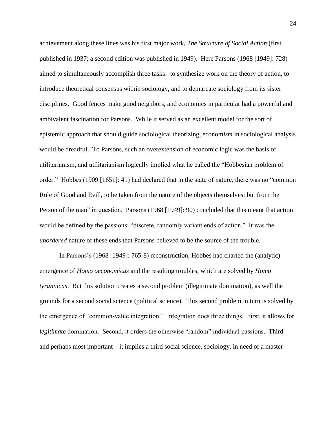achievement along these lines was his first major work, *The Structure of Social Action* (first published in 1937; a second edition was published in 1949). Here Parsons (1968 [1949]: 728) aimed to simultaneously accomplish three tasks: to synthesize work on the theory of action, to introduce theoretical consensus within sociology, and to demarcate sociology from its sister disciplines. Good fences make good neighbors, and economics in particular had a powerful and ambivalent fascination for Parsons. While it served as an excellent model for the sort of epistemic approach that should guide sociological theorizing, econom*ism* in sociological analysis would be dreadful. To Parsons, such an overextension of economic logic was the basis of utilitarianism, and utilitarianism logically implied what he called the "Hobbesian problem of order." Hobbes (1909 [1651]: 41) had declared that in the state of nature, there was no "common Rule of Good and Evill, to be taken from the nature of the objects themselves; but from the Person of the man" in question. Parsons (1968 [1949]: 90) concluded that this meant that action would be defined by the passions: "discrete, randomly variant ends of action." It was the *unordered* nature of these ends that Parsons believed to be the source of the trouble.

In Parsons's (1968 [1949]: 765-8) reconstruction, Hobbes had charted the (analytic) emergence of *Homo oeconomicus* and the resulting troubles, which are solved by *Homo tyrannicus*. But this solution creates a second problem (illegitimate domination), as well the grounds for a second social science (political science). This second problem in turn is solved by the emergence of "common-value integration." Integration does three things. First, it allows for *legitimate* domination. Second, it orders the otherwise "random" individual passions. Third and perhaps most important—it implies a third social science, sociology, in need of a master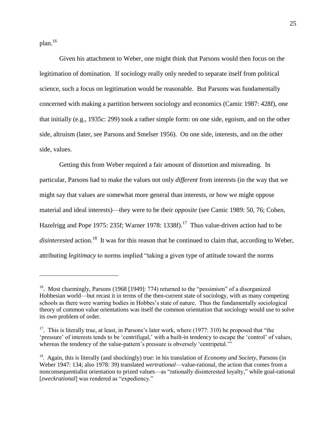plan.<sup>16</sup>

 $\overline{a}$ 

Given his attachment to Weber, one might think that Parsons would then focus on the legitimation of domination. If sociology really only needed to separate itself from political science, such a focus on legitimation would be reasonable. But Parsons was fundamentally concerned with making a partition between sociology and economics (Camic 1987: 428f), one that initially (e.g., 1935c: 299) took a rather simple form: on one side, egoism, and on the other side, altruism (later, see Parsons and Smelser 1956). On one side, interests, and on the other side, values.

Getting this from Weber required a fair amount of distortion and misreading. In particular, Parsons had to make the values not only *different* from interests (in the way that we might say that values are somewhat more general than interests, or how we might oppose material and ideal interests)—they were to be their *opposite* (see Camic 1989: 50, 76; Cohen, Hazelrigg and Pope 1975: 235f; Warner 1978: 1338f).<sup>17</sup> Thus value-driven action had to be disinterested action.<sup>18</sup> It was for this reason that he continued to claim that, according to Weber, attributing *legitimacy* to norms implied "taking a given type of attitude toward the norms

<sup>&</sup>lt;sup>16</sup>. Most charmingly, Parsons (1968 [1949]: 774) returned to the "pessimism" of a disorganized Hobbesian world—but recast it in terms of the then-current state of sociology, with as many competing schools as there were warring bodies in Hobbes's state of nature. Thus the fundamentally sociological theory of common value orientations was itself the common orientation that sociology would use to solve its *own* problem of order.

<sup>&</sup>lt;sup>17</sup>. This is literally true, at least, in Parsons's later work, where (1977: 310) he proposed that "the 'pressure' of interests tends to be 'centrifugal,' with a built-in tendency to escape the 'control' of values, whereas the tendency of the value-pattern's pressure is obversely 'centripetal.'"

<sup>&</sup>lt;sup>18</sup>. Again, this is literally (and shockingly) true: in his translation of *Economy and Society*, Parsons (in Weber 1947: 134; also 1978: 39) translated *wertrational*—value-rational, the action that comes from a nonconsequentialist orientation to prized values—as "rationally disinterested loyalty," while goal-rational [*zweckrational*] was rendered as "expediency."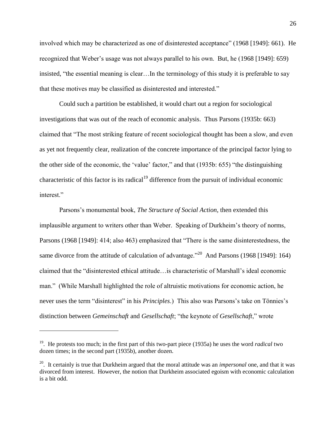involved which may be characterized as one of disinterested acceptance" (1968 [1949]: 661). He recognized that Weber's usage was not always parallel to his own. But, he (1968 [1949]: 659) insisted, "the essential meaning is clear…In the terminology of this study it is preferable to say that these motives may be classified as disinterested and interested."

Could such a partition be established, it would chart out a region for sociological investigations that was out of the reach of economic analysis. Thus Parsons (1935b: 663) claimed that "The most striking feature of recent sociological thought has been a slow, and even as yet not frequently clear, realization of the concrete importance of the principal factor lying to the other side of the economic, the 'value' factor," and that (1935b: 655) "the distinguishing characteristic of this factor is its radical<sup>19</sup> difference from the pursuit of individual economic interest."

Parsons's monumental book, *The Structure of Social Action*, then extended this implausible argument to writers other than Weber. Speaking of Durkheim's theory of norms, Parsons (1968 [1949]: 414; also 463) emphasized that "There is the same disinterestedness, the same divorce from the attitude of calculation of advantage."<sup>20</sup> And Parsons (1968 [1949]: 164) claimed that the "disinterested ethical attitude…is characteristic of Marshall's ideal economic man." (While Marshall highlighted the role of altruistic motivations for economic action, he never uses the term "disinterest" in his *Principles*.) This also was Parsons's take on Tönnies's distinction between *Gemeinschaft* and *Gesellschaft*; "the keynote of *Gesellschaft*," wrote

<sup>19</sup>. He protests too much; in the first part of this two-part piece (1935a) he uses the word *radical* two dozen times; in the second part (1935b), another dozen.

<sup>20</sup>. It certainly is true that Durkheim argued that the moral attitude was an *impersonal* one, and that it was divorced from interest. However, the notion that Durkheim associated egoism with economic calculation is a bit odd.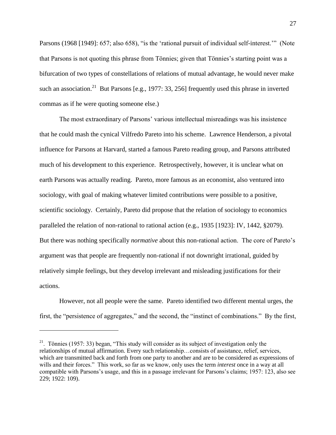Parsons (1968 [1949]: 657; also 658), "is the 'rational pursuit of individual self-interest."" (Note that Parsons is not quoting this phrase from Tönnies; given that Tönnies's starting point was a bifurcation of two types of constellations of relations of mutual advantage, he would never make such an association.<sup>21</sup> But Parsons [e.g., 1977: 33, 256] frequently used this phrase in inverted commas as if he were quoting someone else.)

The most extraordinary of Parsons' various intellectual misreadings was his insistence that he could mash the cynical Vilfredo Pareto into his scheme. Lawrence Henderson, a pivotal influence for Parsons at Harvard, started a famous Pareto reading group, and Parsons attributed much of his development to this experience. Retrospectively, however, it is unclear what on earth Parsons was actually reading. Pareto, more famous as an economist, also ventured into sociology, with goal of making whatever limited contributions were possible to a positive, scientific sociology. Certainly, Pareto did propose that the relation of sociology to economics paralleled the relation of non-rational to rational action (e.g., 1935 [1923]: IV, 1442, §2079). But there was nothing specifically *normative* about this non-rational action. The core of Pareto's argument was that people are frequently non-rational if not downright irrational, guided by relatively simple feelings, but they develop irrelevant and misleading justifications for their actions.

However, not all people were the same. Pareto identified two different mental urges, the first, the "persistence of aggregates," and the second, the "instinct of combinations." By the first,

<sup>&</sup>lt;sup>21</sup>. Tönnies (1957: 33) began, "This study will consider as its subject of investigation only the relationships of mutual affirmation. Every such relationship…consists of assistance, relief, services, which are transmitted back and forth from one party to another and are to be considered as expressions of wills and their forces." This work, so far as we know, only uses the term *interest* once in a way at all compatible with Parsons's usage, and this in a passage irrelevant for Parsons's claims; 1957: 123, also see 229; 1922: 109).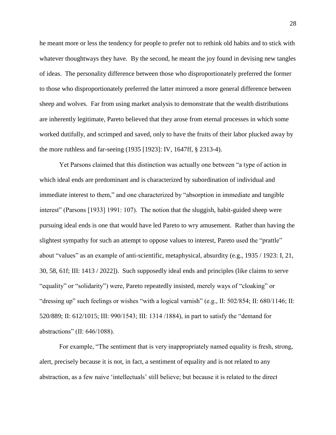he meant more or less the tendency for people to prefer not to rethink old habits and to stick with whatever thoughtways they have. By the second, he meant the joy found in devising new tangles of ideas. The personality difference between those who disproportionately preferred the former to those who disproportionately preferred the latter mirrored a more general difference between sheep and wolves. Far from using market analysis to demonstrate that the wealth distributions are inherently legitimate, Pareto believed that they arose from eternal processes in which some worked dutifully, and scrimped and saved, only to have the fruits of their labor plucked away by the more ruthless and far-seeing (1935 [1923]: IV, 1647ff, § 2313-4).

Yet Parsons claimed that this distinction was actually one between "a type of action in which ideal ends are predominant and is characterized by subordination of individual and immediate interest to them," and one characterized by "absorption in immediate and tangible interest" (Parsons [1933] 1991: 107). The notion that the sluggish, habit-guided sheep were pursuing ideal ends is one that would have led Pareto to wry amusement. Rather than having the slightest sympathy for such an attempt to oppose values to interest, Pareto used the "prattle" about "values" as an example of anti-scientific, metaphysical, absurdity (e.g., 1935 / 1923: I, 21, 30, 58, 61f; III: 1413 / 2022]). Such supposedly ideal ends and principles (like claims to serve "equality" or "solidarity") were, Pareto repeatedly insisted, merely ways of "cloaking" or "dressing up" such feelings or wishes "with a logical varnish" (e.g., II: 502/854; II: 680/1146; II: 520/889; II: 612/1015; III: 990/1543; III: 1314 /1884), in part to satisfy the "demand for abstractions" (II: 646/1088).

For example, "The sentiment that is very inappropriately named equality is fresh, strong, alert, precisely because it is not, in fact, a sentiment of equality and is not related to any abstraction, as a few naive 'intellectuals' still believe; but because it is related to the direct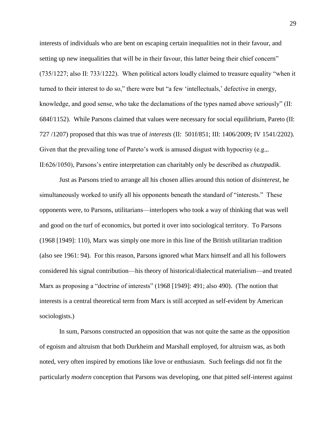interests of individuals who are bent on escaping certain inequalities not in their favour, and setting up new inequalities that will be in their favour, this latter being their chief concern" (735/1227; also II: 733/1222). When political actors loudly claimed to treasure equality "when it turned to their interest to do so," there were but "a few 'intellectuals,' defective in energy, knowledge, and good sense, who take the declamations of the types named above seriously" (II: 684f/1152). While Parsons claimed that values were necessary for social equilibrium, Pareto (II: 727 /1207) proposed that this was true of *interests* (II: 501f/851; III: 1406/2009; IV 1541/2202). Given that the prevailing tone of Pareto's work is amused disgust with hypocrisy (e.g.,. II:626/1050), Parsons's entire interpretation can charitably only be described as *chutzpadik*.

Just as Parsons tried to arrange all his chosen allies around this notion of *disinterest,* he simultaneously worked to unify all his opponents beneath the standard of "interests." These opponents were, to Parsons, utilitarians—interlopers who took a way of thinking that was well and good on the turf of economics, but ported it over into sociological territory. To Parsons (1968 [1949]: 110), Marx was simply one more in this line of the British utilitarian tradition (also see 1961: 94). For this reason, Parsons ignored what Marx himself and all his followers considered his signal contribution—his theory of historical/dialectical materialism—and treated Marx as proposing a "doctrine of interests" (1968 [1949]: 491; also 490). (The notion that interests is a central theoretical term from Marx is still accepted as self-evident by American sociologists.)

In sum, Parsons constructed an opposition that was not quite the same as the opposition of egoism and altruism that both Durkheim and Marshall employed, for altruism was, as both noted, very often inspired by emotions like love or enthusiasm. Such feelings did not fit the particularly *modern* conception that Parsons was developing, one that pitted self-interest against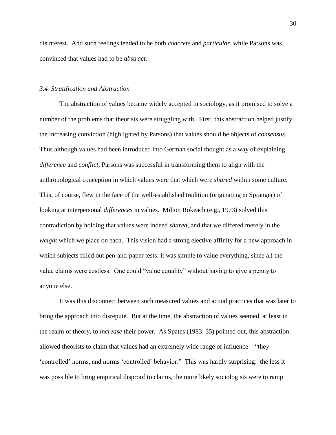disinterest. And such feelings tended to be both *concrete* and *particular*, while Parsons was convinced that values had to be *abstract*.

## *3.4 Stratification and Abstraction*

The abstraction of values became widely accepted in sociology, as it promised to solve a number of the problems that theorists were struggling with. First, this abstraction helped justify the increasing conviction (highlighted by Parsons) that values should be objects of *consensus*. Thus although values had been introduced into German social thought as a way of explaining *difference* and *conflict*, Parsons was successful in transforming them to align with the anthropological conception in which values were that which were *shared* within some culture. This, of course, flew in the face of the well-established tradition (originating in Spranger) of looking at interpersonal *differences* in values. Milton Rokeach (e.g., 1973) solved this contradiction by holding that values were indeed *shared*, and that we differed merely in the *weight* which we place on each. This vision had a strong elective affinity for a new approach in which subjects filled out pen-and-paper tests: it was simple to value everything, since all the value claims were costless. One could "value equality" without having to give a penny to anyone else.

It was this disconnect between such measured values and actual practices that was later to bring the approach into disrepute. But at the time, the abstraction of values seemed, at least in the realm of theory, to *increase* their power. As Spates (1983: 35) pointed out, this abstraction allowed theorists to claim that values had an extremely wide range of influence—"they 'controlled' norms, and norms 'controlled' behavior." This was hardly surprising: the less it was possible to bring empirical disproof to claims, the more likely sociologists were to ramp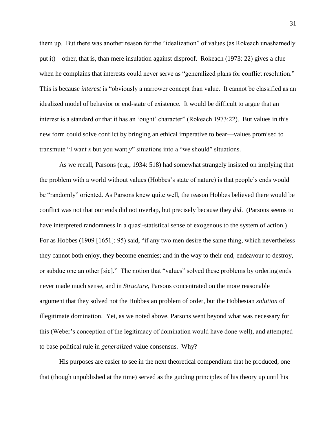them up. But there was another reason for the "idealization" of values (as Rokeach unashamedly put it)—other, that is, than mere insulation against disproof. Rokeach (1973: 22) gives a clue when he complains that interests could never serve as "generalized plans for conflict resolution." This is because *interest* is "obviously a narrower concept than value. It cannot be classified as an idealized model of behavior or end-state of existence. It would be difficult to argue that an interest is a standard or that it has an 'ought' character" (Rokeach 1973:22). But values in this new form could solve conflict by bringing an ethical imperative to bear—values promised to transmute "I want *x* but you want *y*" situations into a "we should" situations.

As we recall, Parsons (e.g., 1934: 518) had somewhat strangely insisted on implying that the problem with a world without values (Hobbes's state of nature) is that people's ends would be "randomly" oriented. As Parsons knew quite well, the reason Hobbes believed there would be conflict was not that our ends did not overlap, but precisely because they *did*. (Parsons seems to have interpreted randomness in a quasi-statistical sense of exogenous to the system of action.) For as Hobbes (1909 [1651]: 95) said, "if any two men desire the same thing, which nevertheless they cannot both enjoy, they become enemies; and in the way to their end, endeavour to destroy, or subdue one an other [sic]." The notion that "values" solved these problems by ordering ends never made much sense, and in *Structure*, Parsons concentrated on the more reasonable argument that they solved not the Hobbesian problem of order, but the Hobbesian *solution* of illegitimate domination. Yet, as we noted above, Parsons went beyond what was necessary for this (Weber's conception of the legitimacy of domination would have done well), and attempted to base political rule in *generalized* value consensus. Why?

His purposes are easier to see in the next theoretical compendium that he produced, one that (though unpublished at the time) served as the guiding principles of his theory up until his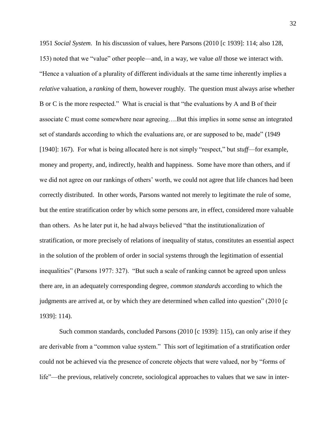1951 *Social System*. In his discussion of values, here Parsons (2010 [c 1939]: 114; also 128, 153) noted that we "value" other people—and, in a way, we value *all* those we interact with. "Hence a valuation of a plurality of different individuals at the same time inherently implies a *relative* valuation, a *ranking* of them, however roughly. The question must always arise whether B or C is the more respected." What is crucial is that "the evaluations by A and B of their associate C must come somewhere near agreeing….But this implies in some sense an integrated set of standards according to which the evaluations are, or are supposed to be, made" (1949 [1940]: 167). For what is being allocated here is not simply "respect," but *stuff*—for example, money and property, and, indirectly, health and happiness. Some have more than others, and if we did not agree on our rankings of others' worth, we could not agree that life chances had been correctly distributed. In other words, Parsons wanted not merely to legitimate the rule of some, but the entire stratification order by which some persons are, in effect, considered more valuable than others. As he later put it, he had always believed "that the institutionalization of stratification, or more precisely of relations of inequality of status, constitutes an essential aspect in the solution of the problem of order in social systems through the legitimation of essential inequalities" (Parsons 1977: 327). "But such a scale of ranking cannot be agreed upon unless there are, in an adequately corresponding degree, *common standards* according to which the judgments are arrived at, or by which they are determined when called into question" (2010 [c 1939]: 114).

Such common standards, concluded Parsons (2010 [c 1939]: 115), can only arise if they are derivable from a "common value system." This sort of legitimation of a stratification order could not be achieved via the presence of concrete objects that were valued, nor by "forms of life"—the previous, relatively concrete, sociological approaches to values that we saw in inter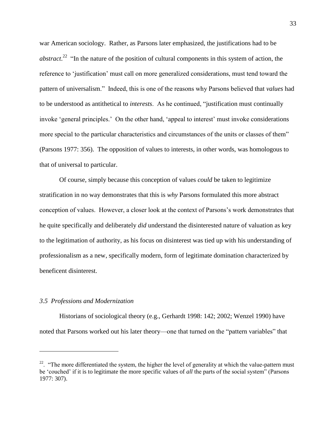war American sociology. Rather, as Parsons later emphasized, the justifications had to be *abstract*.<sup>22</sup> "In the nature of the position of cultural components in this system of action, the reference to 'justification' must call on more generalized considerations, must tend toward the pattern of universalism." Indeed, this is one of the reasons why Parsons believed that *values* had to be understood as antithetical to *interests*. As he continued, "justification must continually invoke 'general principles.' On the other hand, 'appeal to interest' must invoke considerations more special to the particular characteristics and circumstances of the units or classes of them" (Parsons 1977: 356). The opposition of values to interests, in other words, was homologous to that of universal to particular.

Of course, simply because this conception of values *could* be taken to legitimize stratification in no way demonstrates that this is *why* Parsons formulated this more abstract conception of values. However, a closer look at the context of Parsons's work demonstrates that he quite specifically and deliberately *did* understand the disinterested nature of valuation as key to the legitimation of authority, as his focus on disinterest was tied up with his understanding of professionalism as a new, specifically modern, form of legitimate domination characterized by beneficent disinterest.

#### *3.5 Professions and Modernization*

 $\overline{a}$ 

Historians of sociological theory (e.g., Gerhardt 1998: 142; 2002; Wenzel 1990) have noted that Parsons worked out his later theory—one that turned on the "pattern variables" that

<sup>&</sup>lt;sup>22</sup>. "The more differentiated the system, the higher the level of generality at which the value-pattern must be 'couched' if it is to legitimate the more specific values of *all* the parts of the social system" (Parsons 1977: 307).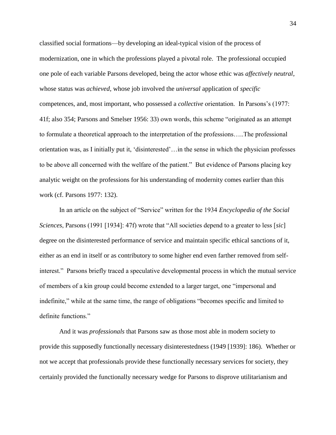classified social formations—by developing an ideal-typical vision of the process of modernization, one in which the professions played a pivotal role. The professional occupied one pole of each variable Parsons developed, being the actor whose ethic was *affectively neutral*, whose status was *achieved*, whose job involved the *universal* application of *specific* competences, and, most important, who possessed a *collective* orientation. In Parsons's (1977: 41f; also 354; Parsons and Smelser 1956: 33) own words, this scheme "originated as an attempt to formulate a theoretical approach to the interpretation of the professions…..The professional orientation was, as I initially put it, 'disinterested'…in the sense in which the physician professes to be above all concerned with the welfare of the patient." But evidence of Parsons placing key analytic weight on the professions for his understanding of modernity comes earlier than this work (cf. Parsons 1977: 132).

In an article on the subject of "Service" written for the 1934 *Encyclopedia of the Social Sciences*, Parsons (1991 [1934]: 47f) wrote that "All societies depend to a greater to less [*sic*] degree on the disinterested performance of service and maintain specific ethical sanctions of it, either as an end in itself or as contributory to some higher end even farther removed from selfinterest." Parsons briefly traced a speculative developmental process in which the mutual service of members of a kin group could become extended to a larger target, one "impersonal and indefinite," while at the same time, the range of obligations "becomes specific and limited to definite functions."

And it was *professionals* that Parsons saw as those most able in modern society to provide this supposedly functionally necessary disinterestedness (1949 [1939]: 186). Whether or not we accept that professionals provide these functionally necessary services for society, they certainly provided the functionally necessary wedge for Parsons to disprove utilitarianism and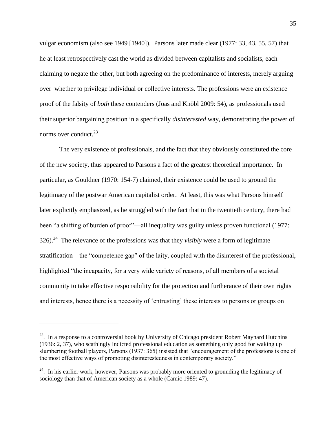vulgar economism (also see 1949 [1940]). Parsons later made clear (1977: 33, 43, 55, 57) that he at least retrospectively cast the world as divided between capitalists and socialists, each claiming to negate the other, but both agreeing on the predominance of interests, merely arguing over whether to privilege individual or collective interests. The professions were an existence proof of the falsity of *both* these contenders (Joas and Knöbl 2009: 54), as professionals used their superior bargaining position in a specifically *disinterested* way, demonstrating the power of norms over conduct.<sup>23</sup>

The very existence of professionals, and the fact that they obviously constituted the core of the new society, thus appeared to Parsons a fact of the greatest theoretical importance. In particular, as Gouldner (1970: 154-7) claimed, their existence could be used to ground the legitimacy of the postwar American capitalist order. At least, this was what Parsons himself later explicitly emphasized, as he struggled with the fact that in the twentieth century, there had been "a shifting of burden of proof"—all inequality was guilty unless proven functional (1977: 326).<sup>24</sup> The relevance of the professions was that they *visibly* were a form of legitimate stratification—the "competence gap" of the laity, coupled with the disinterest of the professional, highlighted "the incapacity, for a very wide variety of reasons, of all members of a societal community to take effective responsibility for the protection and furtherance of their own rights and interests, hence there is a necessity of 'entrusting' these interests to persons or groups on

 $^{23}$ . In a response to a controversial book by University of Chicago president Robert Maynard Hutchins (1936: 2, 37), who scathingly indicted professional education as something only good for waking up slumbering football players, Parsons (1937: 365) insisted that "encouragement of the professions is one of the most effective ways of promoting disinterestedness in contemporary society."

<sup>&</sup>lt;sup>24</sup>. In his earlier work, however, Parsons was probably more oriented to grounding the legitimacy of sociology than that of American society as a whole (Camic 1989: 47).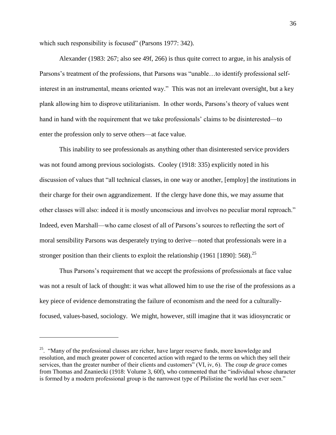which such responsibility is focused" (Parsons 1977: 342).

Alexander (1983: 267; also see 49f, 266) is thus quite correct to argue, in his analysis of Parsons's treatment of the professions, that Parsons was "unable…to identify professional selfinterest in an instrumental, means oriented way." This was not an irrelevant oversight, but a key plank allowing him to disprove utilitarianism. In other words, Parsons's theory of values went hand in hand with the requirement that we take professionals' claims to be disinterested—to enter the profession only to serve others—at face value.

This inability to see professionals as anything other than disinterested service providers was not found among previous sociologists. Cooley (1918: 335) explicitly noted in his discussion of values that "all technical classes, in one way or another, [employ] the institutions in their charge for their own aggrandizement. If the clergy have done this, we may assume that other classes will also: indeed it is mostly unconscious and involves no peculiar moral reproach." Indeed, even Marshall—who came closest of all of Parsons's sources to reflecting the sort of moral sensibility Parsons was desperately trying to derive—noted that professionals were in a stronger position than their clients to exploit the relationship (1961 [1890]:  $568$ ).<sup>25</sup>

Thus Parsons's requirement that we accept the professions of professionals at face value was not a result of lack of thought: it was what allowed him to use the rise of the professions as a key piece of evidence demonstrating the failure of economism and the need for a culturallyfocused, values-based, sociology. We might, however, still imagine that it was idiosyncratic or

 $25.$  "Many of the professional classes are richer, have larger reserve funds, more knowledge and resolution, and much greater power of concerted action with regard to the terms on which they sell their services, than the greater number of their clients and customers" (VI, iv, 6). The *coup de grace* comes from Thomas and Znaniecki (1918: Volume 3, 60f), who commented that the "individual whose character is formed by a modern professional group is the narrowest type of Philistine the world has ever seen."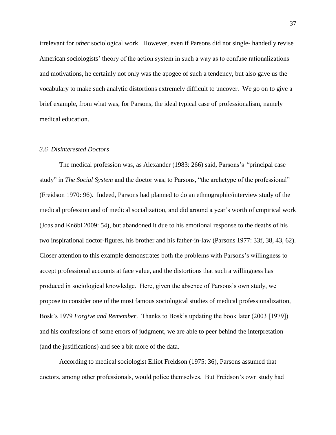irrelevant for *other* sociological work. However, even if Parsons did not single- handedly revise American sociologists' theory of the action system in such a way as to confuse rationalizations and motivations, he certainly not only was the apogee of such a tendency, but also gave us the vocabulary to make such analytic distortions extremely difficult to uncover. We go on to give a brief example, from what was, for Parsons, the ideal typical case of professionalism, namely medical education.

### *3.6 Disinterested Doctors*

The medical profession was, as Alexander (1983: 266) said, Parsons's *"*principal case study" in *The Social System* and the doctor was, to Parsons, "the archetype of the professional" (Freidson 1970: 96). Indeed, Parsons had planned to do an ethnographic/interview study of the medical profession and of medical socialization, and did around a year's worth of empirical work (Joas and Knöbl 2009: 54), but abandoned it due to his emotional response to the deaths of his two inspirational doctor-figures, his brother and his father-in-law (Parsons 1977: 33f, 38, 43, 62). Closer attention to this example demonstrates both the problems with Parsons's willingness to accept professional accounts at face value, and the distortions that such a willingness has produced in sociological knowledge. Here, given the absence of Parsons's own study, we propose to consider one of the most famous sociological studies of medical professionalization, Bosk's 1979 *Forgive and Remember*. Thanks to Bosk's updating the book later (2003 [1979]) and his confessions of some errors of judgment, we are able to peer behind the interpretation (and the justifications) and see a bit more of the data.

According to medical sociologist Elliot Freidson (1975: 36), Parsons assumed that doctors, among other professionals, would police themselves. But Freidson's own study had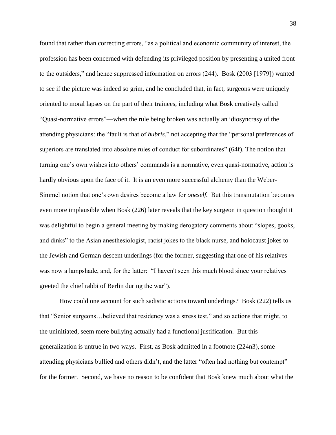found that rather than correcting errors, "as a political and economic community of interest, the profession has been concerned with defending its privileged position by presenting a united front to the outsiders," and hence suppressed information on errors (244). Bosk (2003 [1979]) wanted to see if the picture was indeed so grim, and he concluded that, in fact, surgeons were uniquely oriented to moral lapses on the part of their trainees, including what Bosk creatively called "Quasi-normative errors"—when the rule being broken was actually an idiosyncrasy of the attending physicians: the "fault is that of *hubris*," not accepting that the "personal preferences of superiors are translated into absolute rules of conduct for subordinates" (64f). The notion that turning one's own wishes into others' commands is a normative, even quasi-normative, action is hardly obvious upon the face of it. It is an even more successful alchemy than the Weber-Simmel notion that one's own desires become a law for *oneself.* But this transmutation becomes even more implausible when Bosk (226) later reveals that the key surgeon in question thought it was delightful to begin a general meeting by making derogatory comments about "slopes, gooks, and dinks" to the Asian anesthesiologist, racist jokes to the black nurse, and holocaust jokes to the Jewish and German descent underlings (for the former, suggesting that one of his relatives was now a lampshade, and, for the latter: "I haven't seen this much blood since your relatives greeted the chief rabbi of Berlin during the war").

How could one account for such sadistic actions toward underlings? Bosk (222) tells us that "Senior surgeons…believed that residency was a stress test," and so actions that might, to the uninitiated, seem mere bullying actually had a functional justification. But this generalization is untrue in two ways. First, as Bosk admitted in a footnote (224n3), some attending physicians bullied and others didn't, and the latter "often had nothing but contempt" for the former. Second, we have no reason to be confident that Bosk knew much about what the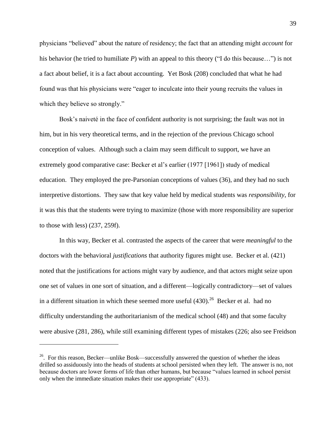physicians "believed" about the nature of residency; the fact that an attending might *account* for his behavior (he tried to humiliate *P*) with an appeal to this theory ("I do this because…") is not a fact about belief, it is a fact about accounting. Yet Bosk (208) concluded that what he had found was that his physicians were "eager to inculcate into their young recruits the values in which they believe so strongly."

Bosk's naiveté in the face of confident authority is not surprising; the fault was not in him, but in his very theoretical terms, and in the rejection of the previous Chicago school conception of values. Although such a claim may seem difficult to support, we have an extremely good comparative case: Becker et al's earlier (1977 [1961]) study of medical education. They employed the pre-Parsonian conceptions of values (36), and they had no such interpretive distortions. They saw that key value held by medical students was *responsibility*, for it was this that the students were trying to maximize (those with more responsibility are superior to those with less) (237, 259f).

In this way, Becker et al. contrasted the aspects of the career that were *meaningful* to the doctors with the behavioral *justifications* that authority figures might use. Becker et al. (421) noted that the justifications for actions might vary by audience, and that actors might seize upon one set of values in one sort of situation, and a different—logically contradictory—set of values in a different situation in which these seemed more useful  $(430)$ .<sup>26</sup> Becker et al. had no difficulty understanding the authoritarianism of the medical school (48) and that some faculty were abusive (281, 286), while still examining different types of mistakes (226; also see Freidson

 $26$ . For this reason, Becker—unlike Bosk—successfully answered the question of whether the ideas drilled so assiduously into the heads of students at school persisted when they left. The answer is no, not because doctors are lower forms of life than other humans, but because "values learned in school persist only when the immediate situation makes their use appropriate" (433).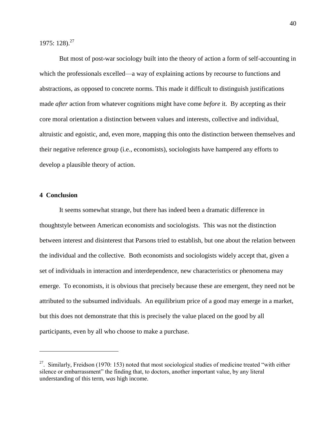1975: 128).<sup>27</sup>

But most of post-war sociology built into the theory of action a form of self-accounting in which the professionals excelled—a way of explaining actions by recourse to functions and abstractions, as opposed to concrete norms. This made it difficult to distinguish justifications made *after* action from whatever cognitions might have come *before* it. By accepting as their core moral orientation a distinction between values and interests, collective and individual, altruistic and egoistic, and, even more, mapping this onto the distinction between themselves and their negative reference group (i.e., economists), sociologists have hampered any efforts to develop a plausible theory of action.

# **4 Conclusion**

 $\overline{a}$ 

It seems somewhat strange, but there has indeed been a dramatic difference in thoughtstyle between American economists and sociologists. This was not the distinction between interest and disinterest that Parsons tried to establish, but one about the relation between the individual and the collective. Both economists and sociologists widely accept that, given a set of individuals in interaction and interdependence, new characteristics or phenomena may emerge. To economists, it is obvious that precisely because these are emergent, they need not be attributed to the subsumed individuals. An equilibrium price of a good may emerge in a market, but this does not demonstrate that this is precisely the value placed on the good by all participants, even by all who choose to make a purchase.

<sup>&</sup>lt;sup>27</sup>. Similarly, Freidson (1970: 153) noted that most sociological studies of medicine treated "with either silence or embarrassment" the finding that, to doctors, another important value, by any literal understanding of this term, *was* high income.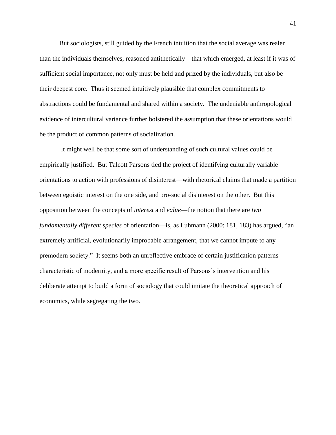But sociologists, still guided by the French intuition that the social average was realer than the individuals themselves, reasoned antithetically—that which emerged, at least if it was of sufficient social importance, not only must be held and prized by the individuals, but also be their deepest core. Thus it seemed intuitively plausible that complex commitments to abstractions could be fundamental and shared within a society. The undeniable anthropological evidence of intercultural variance further bolstered the assumption that these orientations would be the product of common patterns of socialization.

It might well be that some sort of understanding of such cultural values could be empirically justified. But Talcott Parsons tied the project of identifying culturally variable orientations to action with professions of disinterest—with rhetorical claims that made a partition between egoistic interest on the one side, and pro-social disinterest on the other. But this opposition between the concepts of *interest* and *value*—the notion that there are *two fundamentally different species* of orientation—is, as Luhmann (2000: 181, 183) has argued, "an extremely artificial, evolutionarily improbable arrangement, that we cannot impute to any premodern society." It seems both an unreflective embrace of certain justification patterns characteristic of modernity, and a more specific result of Parsons's intervention and his deliberate attempt to build a form of sociology that could imitate the theoretical approach of economics, while segregating the two.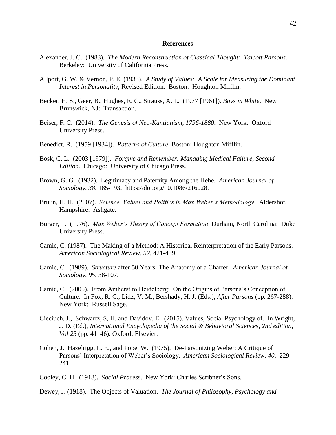#### **References**

- Alexander, J. C. (1983). *The Modern Reconstruction of Classical Thought: Talcott Parsons.*  Berkeley: University of California Press.
- Allport, G. W. & Vernon, P. E. (1933). *A Study of Values: A Scale for Measuring the Dominant Interest in Personality,* Revised Edition. Boston: Houghton Mifflin.
- Becker, H. S., Geer, B., Hughes, E. C., Strauss, A. L. (1977 [1961]). *Boys in White*. New Brunswick, NJ: Transaction.
- Beiser, F. C. (2014). *The Genesis of Neo-Kantianism, 1796-1880*. New York: Oxford University Press.
- Benedict, R. (1959 [1934]). *Patterns of Culture*. Boston: Houghton Mifflin.
- Bosk, C. L. (2003 [1979]). *Forgive and Remember: Managing Medical Failure, Second Edition*. Chicago: University of Chicago Press.
- Brown, G. G. (1932). Legitimacy and Paternity Among the Hehe. *American Journal of Sociology*, *38*, 185-193. https://doi.org/10.1086/216028.
- Bruun, H. H. (2007). *Science, Values and Politics in Max Weber's Methodology*. Aldershot, Hampshire: Ashgate.
- Burger, T. (1976). *Max Weber's Theory of Concept Formation*. Durham, North Carolina: Duke University Press.
- Camic, C. (1987). The Making of a Method: A Historical Reinterpretation of the Early Parsons. *American Sociological Review*, *52*, 421-439.
- Camic, C. (1989). *Structure* after 50 Years: The Anatomy of a Charter. *American Journal of Sociology*, *95*, 38-107.
- Camic, C. (2005). From Amherst to Heidelberg: On the Origins of Parsons's Conception of Culture. In Fox, R. C., Lidz, V. M., Bershady, H. J. (Eds.), *After Parsons* (pp. 267-288). New York: Russell Sage.
- Cieciuch, J., Schwartz, S, H. and Davidov, E. (2015). Values, Social Psychology of. In Wright, J. D. (Ed.), *International Encyclopedia of the Social & Behavioral Sciences, 2nd edition, Vol 25* (pp. 41–46). Oxford: Elsevier.
- Cohen, J., Hazelrigg, L. E., and Pope, W. (1975). De-Parsonizing Weber: A Critique of Parsons' Interpretation of Weber's Sociology. *American Sociological Review*, *40*, 229- 241.
- Cooley, C. H. (1918). *Social Process*. New York: Charles Scribner's Sons.
- Dewey, J. (1918). The Objects of Valuation. *The Journal of Philosophy, Psychology and*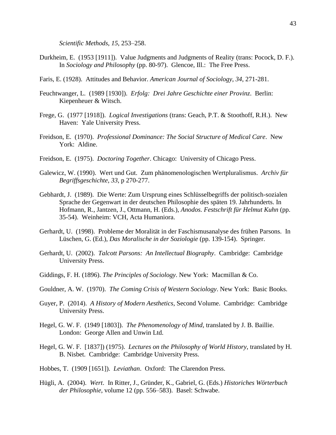*Scientific Methods*, *15*, 253–258.

- Durkheim, E. (1953 [1911]). Value Judgments and Judgments of Reality (trans: Pocock, D. F.). In *Sociology and Philosophy* (pp. 80-97). Glencoe, Ill.: The Free Press.
- Faris, E. (1928). Attitudes and Behavior. *American Journal of Sociology*, *34*, 271-281.
- Feuchtwanger, L. (1989 [1930]). *Erfolg: Drei Jahre Geschichte einer Provinz*. Berlin: Kiepenheuer & Witsch.
- Frege, G. (1977 [1918]). *Logical Investigations* (trans: Geach, P.T. & Stoothoff, R.H.). New Haven: Yale University Press.
- Freidson, E. (1970). *Professional Dominance: The Social Structure of Medical Care*. New York: Aldine.
- Freidson, E. (1975). *Doctoring Together*. Chicago: University of Chicago Press.
- Galewicz, W. (1990). Wert und Gut. Zum phänomenologischen Wertpluralismus. *Archiv für Begriffsgeschichte*, *33*, p 270-277.
- Gebhardt, J. (1989). Die Werte: Zum Ursprung eines Schlüsselbegriffs der politisch-sozialen Sprache der Gegenwart in der deutschen Philosophie des späten 19. Jahrhunderts. In Hofmann, R., Jantzen, J., Ottmann, H. (Eds.), *Anodos. Festschrift für Helmut Kuhn* (pp. 35-54). Weinheim: VCH, Acta Humaniora.
- Gerhardt, U. (1998). Probleme der Moralität in der Faschismusanalyse des frühen Parsons. In Lüschen, G. (Ed.), *Das Moralische in der Soziologie* (pp. 139-154). Springer.
- Gerhardt, U. (2002). *Talcott Parsons: An Intellectual Biography*. Cambridge: Cambridge University Press.
- Giddings, F. H. (1896). *The Principles of Sociology*. New York: Macmillan & Co.
- Gouldner, A. W. (1970). *The Coming Crisis of Western Sociology*. New York: Basic Books.
- Guyer, P. (2014). *A History of Modern Aesthetics*, Second Volume. Cambridge: Cambridge University Press.
- Hegel, G. W. F. (1949 [1803]). *The Phenomenology of Mind*, translated by J. B. Baillie. London: George Allen and Unwin Ltd.
- Hegel, G. W. F. [1837]) (1975). *Lectures on the Philosophy of World History*, translated by H. B. Nisbet. Cambridge: Cambridge University Press.
- Hobbes, T. (1909 [1651]). *Leviathan*. Oxford: The Clarendon Press.
- Hügli, A. (2004). *Wert*. In Ritter, J., Gründer, K., Gabriel, G. (Eds.) *Historiches Wörterbuch der Philosophie*, volume 12 (pp. 556–583). Basel: Schwabe.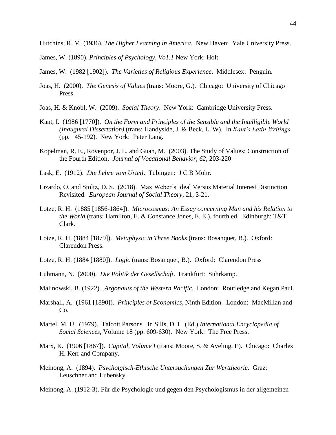Hutchins, R. M. (1936). *The Higher Learning in America*. New Haven: Yale University Press.

James, W. (1890). *Principles of Psychology, Vo1.1* New York: Holt.

James, W. (1982 [1902]). *The Varieties of Religious Experience*. Middlesex: Penguin.

- Joas, H. (2000). *The Genesis of Values* (trans: Moore, G.). Chicago: University of Chicago Press.
- Joas, H. & Knöbl, W. (2009). *Social Theory*. New York: Cambridge University Press.
- Kant, I. (1986 [1770]). *On the Form and Principles of the Sensible and the Intelligible World (Inaugural Dissertation)* (trans: Handyside, J. & Beck, L. W). In *Kant's Latin Writings* (pp. 145-192). New York: Peter Lang.
- Kopelman, R. E., Rovenpor, J. L. and Guan, M. (2003). The Study of Values: Construction of the Fourth Edition. *Journal of Vocational Behavior, 62*, 203-220
- Lask, E. (1912). *Die Lehre vom Urteil*. Tübingen: J C B Mohr.
- Lizardo, O. and Stoltz, D. S. (2018). Max Weber's Ideal Versus Material Interest Distinction Revisited. *European Journal of Social Theory*, 21, 3-21.
- Lotze, R. H. (1885 [1856-1864]). *Microcosmus: An Essay concerning Man and his Relation to the World* (trans: Hamilton, E. & Constance Jones, E. E.), fourth ed. Edinburgh: T&T Clark.
- Lotze, R. H. (1884 [1879]). *Metaphysic in Three Books* (trans: Bosanquet, B.). Oxford: Clarendon Press.
- Lotze, R. H. (1884 [1880]). *Logic* (trans: Bosanquet, B.). Oxford: Clarendon Press
- Luhmann, N. (2000). *Die Politik der Gesellschaft*. Frankfurt: Suhrkamp.
- Malinowski, B. (1922). *Argonauts of the Western Pacific*. London: Routledge and Kegan Paul.
- Marshall, A. (1961 [1890]). *Principles of Economics*, Ninth Edition. London: MacMillan and Co.
- Martel, M. U. (1979). Talcott Parsons. In Sills, D. L (Ed.) *International Encyclopedia of Social Sciences*, Volume 18 (pp. 609-630). New York: The Free Press.
- Marx, K. (1906 [1867]). *Capital, Volume I* (trans: Moore, S. & Aveling, E). Chicago: Charles H. Kerr and Company.
- Meinong, A. (1894). *Psycholgisch-Ethische Untersuchungen Zur Werttheorie*. Graz: Leuschner and Lubensky.

Meinong, A. (1912-3). Für die Psychologie und gegen den Psychologismus in der allgemeinen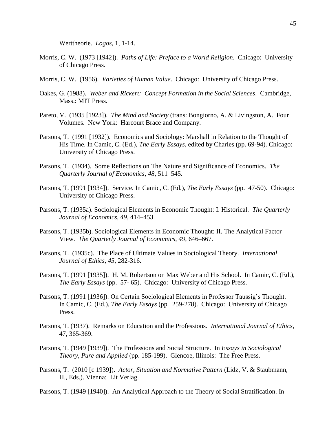Werttheorie. *Logos*, 1, 1-14.

- Morris, C. W. (1973 [1942]). *Paths of Life: Preface to a World Religion*. Chicago: University of Chicago Press.
- Morris, C. W. (1956). *Varieties of Human Value*. Chicago: University of Chicago Press.
- Oakes, G. (1988). *Weber and Rickert: Concept Formation in the Social Sciences*. Cambridge, Mass.: MIT Press.
- Pareto, V. (1935 [1923]). *The Mind and Society* (trans: Bongiorno, A. & Livingston, A. Four Volumes. New York: Harcourt Brace and Company.
- Parsons, T. (1991 [1932]). Economics and Sociology: Marshall in Relation to the Thought of His Time. In Camic, C. (Ed.), *The Early Essays*, edited by Charles (pp. 69-94). Chicago: University of Chicago Press.
- Parsons, T. (1934). Some Reflections on The Nature and Significance of Economics. *The Quarterly Journal of Economics*, *48*, 511–545.
- Parsons, T. (1991 [1934]). Service. In Camic, C. (Ed.), *The Early Essays* (pp. 47-50). Chicago: University of Chicago Press.
- Parsons, T. (1935a). Sociological Elements in Economic Thought: I. Historical. *The Quarterly Journal of Economics*, *49*, 414–453.
- Parsons, T. (1935b). Sociological Elements in Economic Thought: II. The Analytical Factor View. *The Quarterly Journal of Economics*, *49*, 646–667.
- Parsons, T. (1935c). The Place of Ultimate Values in Sociological Theory. *International Journal of Ethics*, *45*, 282-316.
- Parsons, T. (1991 [1935]). H. M. Robertson on Max Weber and His School. In Camic, C. (Ed.), *The Early Essays* (pp. 57- 65). Chicago: University of Chicago Press.
- Parsons, T. (1991 [1936]). On Certain Sociological Elements in Professor Taussig's Thought. In Camic, C. (Ed.), *The Early Essays* (pp. 259-278). Chicago: University of Chicago Press.
- Parsons, T. (1937). Remarks on Education and the Professions. *International Journal of Ethics*, 47, 365-369.
- Parsons, T. (1949 [1939]). The Professions and Social Structure. In *Essays in Sociological Theory, Pure and Applied* (pp. 185-199). Glencoe, Illinois: The Free Press.
- Parsons, T. (2010 [c 1939]). *Actor, Situation and Normative Pattern* (Lidz, V. & Staubmann, H., Eds.). Vienna: Lit Verlag.

Parsons, T. (1949 [1940]). An Analytical Approach to the Theory of Social Stratification. In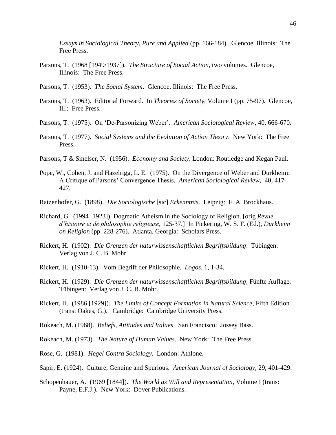*Essays in Sociological Theory, Pure and Applied* (pp. 166-184). Glencoe, Illinois: The Free Press.

- Parsons, T. (1968 [1949/1937]). *The Structure of Social Action*, two volumes. Glencoe, Illinois: The Free Press.
- Parsons, T. (1953). *The Social System*. Glencoe, Illinois: The Free Press.
- Parsons, T. (1963). Editorial Forward. In *Theories of Society*, Volume I (pp. 75-97). Glencoe, Ill.: Free Press.
- Parsons, T. (1975). On 'De-Parsonizing Weber'. *American Sociological Review*, 40, 666-670.
- Parsons, T. (1977). *Social Systems and the Evolution of Action Theory*. New York: The Free Press.
- Parsons, T & Smelser, N. (1956). *Economy and Society*. London: Routledge and Kegan Paul.
- Pope, W., Cohen, J. and Hazelrigg, L. E. (1975). On the Divergence of Weber and Durkheim: A Critique of Parsons' Convergence Thesis. *American Sociological Review*, 40, 417- 427.
- Ratzenhofer, G. (1898). *Die Sociologische* [sic] *Erkenntnis*. Leipzig: F. A. Brockhaus.
- Richard, G. (1994 [1923]). Dogmatic Atheism in the Sociology of Religion. [orig *Revue d'histoire et de philosophie religieuse*, 125-37.] In Pickering, W. S. F. (Ed.), *Durkheim on Religion* (pp. 228-276). Atlanta, Georgia: Scholars Press.
- Rickert, H. (1902). *Die Grenzen der naturwissenschaftlichen Begriffsbildung*. Tübingen: Verlag von J. C. B. Mohr.
- Rickert, H. (1910-13). Vom Begriff der Philosophie. *Logos*, 1, 1-34.
- Rickert, H. (1929). *Die Grenzen der naturwissenschaftlichen Begriffsbildung*, Fünfte Auflage. Tübingen: Verlag von J. C. B. Mohr.
- Rickert, H. (1986 [1929]). *The Limits of Concept Formation in Natural Science*, Fifth Edition (trans: Oakes, G.). Cambridge: Cambridge University Press.
- Rokeach, M. (1968). *Beliefs, Attitudes and Values*. San Francisco: Jossey Bass.
- Rokeach, M. (1973). *The Nature of Human Values*. New York: The Free Press.
- Rose, G. (1981). *Hegel Contra Sociology*. London: Athlone.
- Sapir, E. (1924). Culture, Genuine and Spurious. *American Journal of Sociology*, 29, 401-429.
- Schopenhauer, A. (1969 [1844]). *The World as Will and Representation*, Volume I (trans: Payne, E.F.J.). New York: Dover Publications.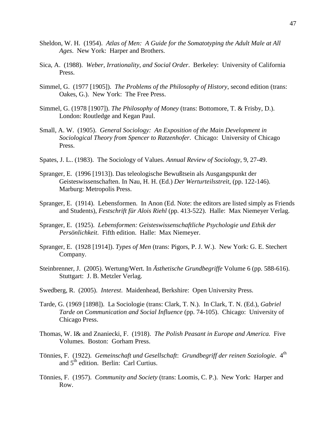- Sheldon, W. H. (1954). *Atlas of Men: A Guide for the Somatotyping the Adult Male at All Ages*. New York: Harper and Brothers.
- Sica, A. (1988). *Weber, Irrationality, and Social Order*. Berkeley: University of California Press.
- Simmel, G. (1977 [1905]). *The Problems of the Philosophy of History*, second edition (trans: Oakes, G.). New York: The Free Press.
- Simmel, G. (1978 [1907]). *The Philosophy of Money* (trans: Bottomore, T. & Frisby, D.). London: Routledge and Kegan Paul.
- Small, A. W. (1905). *General Sociology: An Exposition of the Main Development in Sociological Theory from Spencer to Ratzenhofer*. Chicago: University of Chicago Press.
- Spates, J. L.. (1983). The Sociology of Values. *Annual Review of Sociology*, 9, 27-49.
- Spranger, E. (1996 [1913]). Das teleologische Bewußtsein als Ausgangspunkt der Geisteswissenschaften. In Nau, H. H. (Ed.) *Der Werturteilsstreit*, (pp. 122-146). Marburg: Metropolis Press.
- Spranger, E. (1914). Lebensformen. In Anon (Ed. Note: the editors are listed simply as Friends and Students), *Festschrift für Alois Riehl* (pp. 413-522). Halle: Max Niemeyer Verlag.
- Spranger, E. (1925). *Lebensformen: Geisteswissenschaftliche Psychologie und Ethik der Persönlichkeit*. Fifth edition. Halle: Max Niemeyer.
- Spranger, E. (1928 [1914]). *Types of Men* (trans: Pigors, P. J. W.). New York: G. E. Stechert Company.
- Steinbrenner, J. (2005). Wertung/Wert. In *Ästhetische Grundbegriffe* Volume 6 (pp. 588-616). Stuttgart: J. B. Metzler Verlag.
- Swedberg, R. (2005). *Interest*. Maidenhead, Berkshire: Open University Press.
- Tarde, G. (1969 [1898]). La Sociologie (trans: Clark, T. N.). In Clark, T. N. (Ed.), *Gabriel Tarde on Communication and Social Influence* (pp. 74-105). Chicago: University of Chicago Press.
- Thomas, W. I& and Znaniecki, F. (1918). *The Polish Peasant in Europe and America.* Five Volumes. Boston: Gorham Press.
- Tönnies, F. (1922). *Gemeinschaft und Gesellschaft*: *Grundbegriff der reinen Soziologie*. 4th and  $5<sup>th</sup>$  edition. Berlin: Carl Curtius.
- Tönnies, F. (1957). *Community and Society* (trans: Loomis, C. P.). New York: Harper and Row.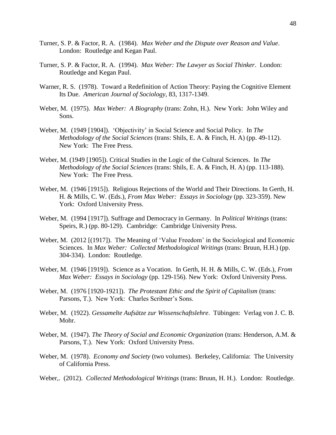- Turner, S. P. & Factor, R. A. (1984). *Max Weber and the Dispute over Reason and Value*. London: Routledge and Kegan Paul.
- Turner, S. P. & Factor, R. A. (1994). *Max Weber: The Lawyer as Social Thinker*. London: Routledge and Kegan Paul.
- Warner, R. S. (1978). Toward a Redefinition of Action Theory: Paying the Cognitive Element Its Due. *American Journal of Sociology*, 83, 1317-1349.
- Weber, M. (1975). *Max Weber: A Biography* (trans: Zohn, H.). New York: John Wiley and Sons.
- Weber, M. (1949 [1904]). 'Objectivity' in Social Science and Social Policy. In *The Methodology of the Social Sciences* (trans: Shils, E. A. & Finch, H. A) (pp. 49-112). New York: The Free Press.
- Weber, M. (1949 [1905]). Critical Studies in the Logic of the Cultural Sciences. In *The Methodology of the Social Sciences* (trans: Shils, E. A. & Finch, H. A) (pp. 113-188). New York: The Free Press.
- Weber, M. (1946 [1915]). Religious Rejections of the World and Their Directions. In Gerth, H. H. & Mills, C. W. (Eds.), *From Max Weber: Essays in Sociology* (pp. 323-359). New York: Oxford University Press.
- Weber, M. (1994 [1917]). Suffrage and Democracy in Germany. In *Political Writings* (trans: Speirs, R.) (pp. 80-129). Cambridge: Cambridge University Press.
- Weber, M. (2012 [(1917]). The Meaning of 'Value Freedom' in the Sociological and Economic Sciences. In *Max Weber: Collected Methodological Writings* (trans: Bruun, H.H.) (pp. 304-334). London: Routledge.
- Weber, M. (1946 [1919]). Science as a Vocation. In Gerth, H. H. & Mills, C. W. (Eds.), *From Max Weber: Essays in Sociology* (pp. 129-156). New York: Oxford University Press.
- Weber, M. (1976 [1920-1921]). *The Protestant Ethic and the Spirit of Capitalism* (trans: Parsons, T.). New York: Charles Scribner's Sons.
- Weber, M. (1922). *Gessamelte Aufsätze zur Wissenschaftslehre*. Tübingen: Verlag von J. C. B. Mohr.
- Weber, M. (1947). *The Theory of Social and Economic Organization* (trans: Henderson, A.M. & Parsons, T.). New York: Oxford University Press.
- Weber, M. (1978). *Economy and Society* (two volumes). Berkeley, California: The University of California Press.
- Weber,. (2012). *Collected Methodological Writings* (trans: Bruun, H. H.). London: Routledge.